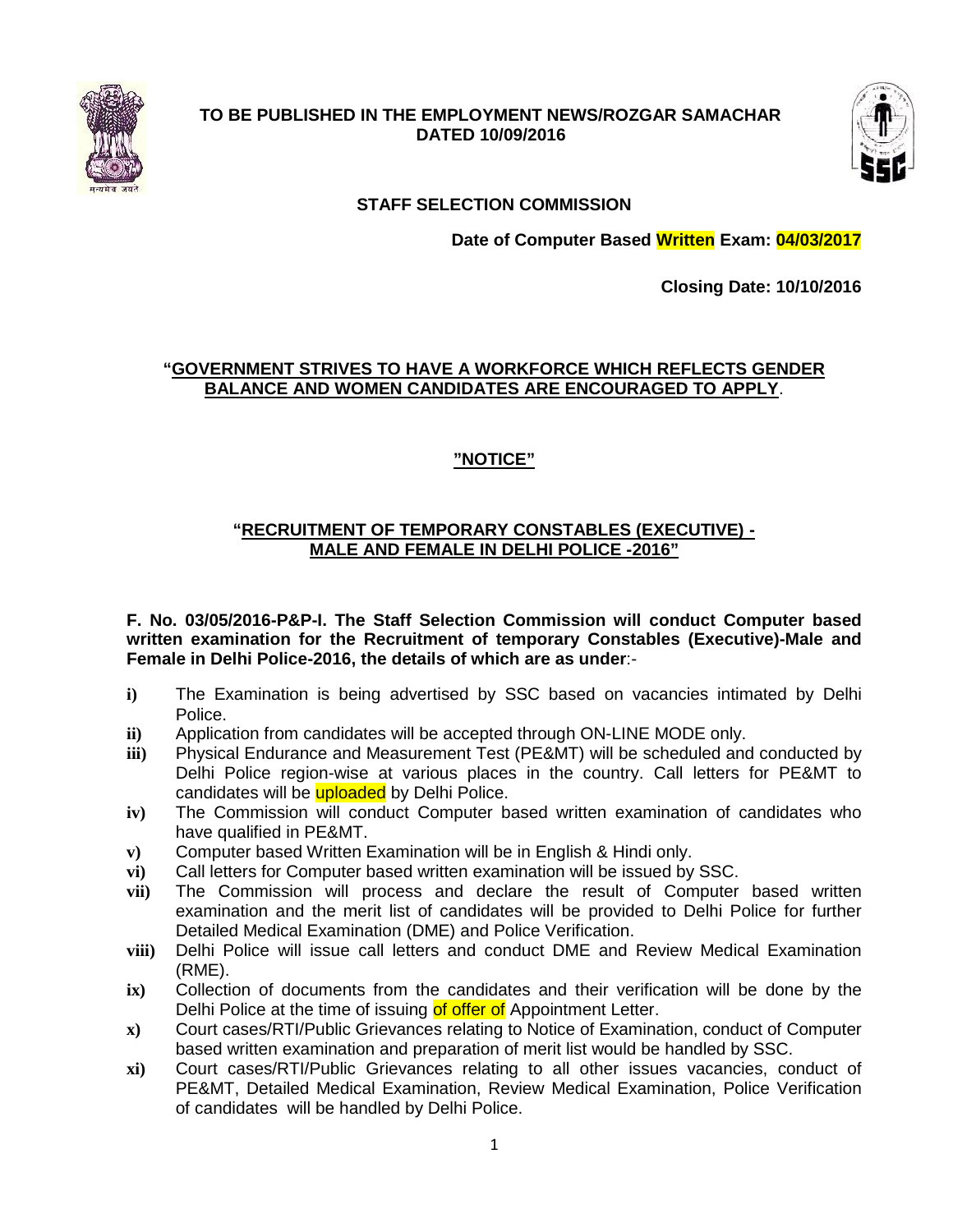

#### **TO BE PUBLISHED IN THE EMPLOYMENT NEWS/ROZGAR SAMACHAR DATED 10/09/2016**



# **STAFF SELECTION COMMISSION**

**Date of Computer Based Written Exam: 04/03/2017**

**Closing Date: 10/10/2016**

# **"GOVERNMENT STRIVES TO HAVE A WORKFORCE WHICH REFLECTS GENDER BALANCE AND WOMEN CANDIDATES ARE ENCOURAGED TO APPLY**.

# **"NOTICE"**

#### **"RECRUITMENT OF TEMPORARY CONSTABLES (EXECUTIVE) - MALE AND FEMALE IN DELHI POLICE -2016"**

**F. No. 03/05/2016-P&P-I. The Staff Selection Commission will conduct Computer based written examination for the Recruitment of temporary Constables (Executive)-Male and Female in Delhi Police-2016, the details of which are as under**:- TO BE PUBLISHED IN THE EMPIROYMENT NEWS/ROZGAR SAMACHI<br>
DATED 10/09/2016<br>
STAFF SELECTION COMMISSION<br>
STAFF SELECTION COMMISSION<br>
STAFF SELECTION COMMISSION<br>
STAFF SELECTION COMMISSION<br>
TROUGHER EXCOURAGED TO APPI<br>
"NOTICE

- **i)** The Examination is being advertised by SSC based on vacancies intimated by Delhi Police.
- **ii)** Application from candidates will be accepted through ON-LINE MODE only.
- **iii)** Physical Endurance and Measurement Test (PE&MT) will be scheduled and conducted by Delhi Police region-wise at various places in the country. Call letters for PE&MT to candidates will be uploaded by Delhi Police.
- **iv)** The Commission will conduct Computer based written examination of candidates who have qualified in PE&MT.
- **v)** Computer based Written Examination will be in English & Hindi only.
- **vi)** Call letters for Computer based written examination will be issued by SSC.
- **vii)** The Commission will process and declare the result of Computer based written examination and the merit list of candidates will be provided to Delhi Police for further Detailed Medical Examination (DME) and Police Verification.
- **viii)** Delhi Police will issue call letters and conduct DME and Review Medical Examination (RME).
- **ix)** Collection of documents from the candidates and their verification will be done by the Delhi Police at the time of issuing of offer of Appointment Letter.
- **x)** Court cases/RTI/Public Grievances relating to Notice of Examination, conduct of Computer based written examination and preparation of merit list would be handled by SSC.
- **xi)** Court cases/RTI/Public Grievances relating to all other issues vacancies, conduct of PE&MT, Detailed Medical Examination, Review Medical Examination, Police Verification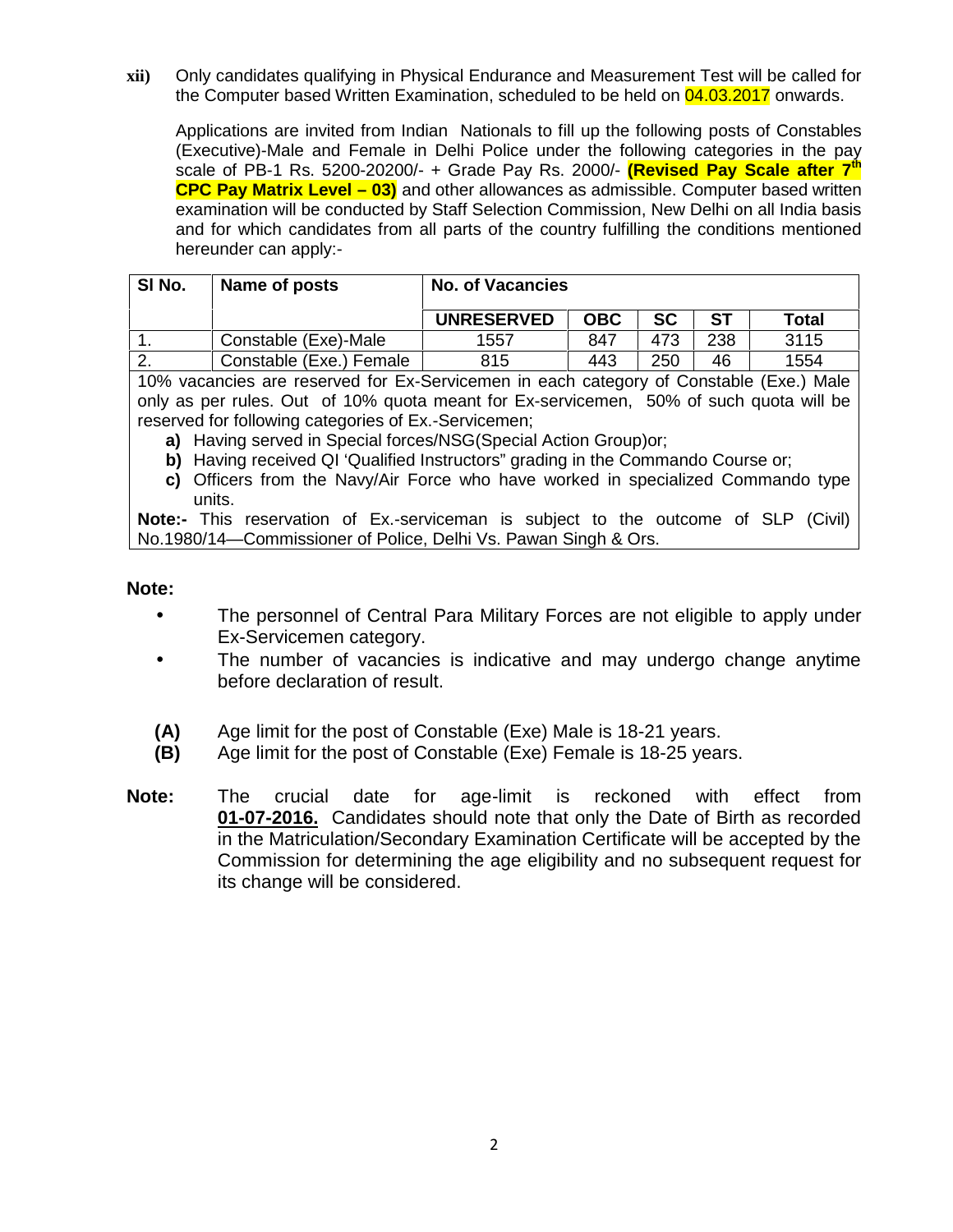**xii)** Only candidates qualifying in Physical Endurance and Measurement Test will be called for the Computer based Written Examination, scheduled to be held on 04.03.2017 onwards.

Applications are invited from Indian Nationals to fill up the following posts of Constables (Executive)-Male and Female in Delhi Police under the following categories in the pay scale of PB-1 Rs. 5200-20200/- + Grade Pay Rs. 2000/- **(Revised Pay Scale after 7th CPC Pay Matrix Level – 03)** and other allowances as admissible. Computer based written examination will be conducted by Staff Selection Commission, New Delhi on all India basis and for which candidates from all parts of the country fulfilling the conditions mentioned hereunder can apply:-

| SI No. | Name of posts           | <b>No. of Vacancies</b> |            |     |           |       |
|--------|-------------------------|-------------------------|------------|-----|-----------|-------|
|        |                         | <b>UNRESERVED</b>       | <b>OBC</b> | SC  | <b>ST</b> | Total |
|        | Constable (Exe)-Male    | 1557                    | 847        | 473 | 238       | 3115  |
| .      | Constable (Exe.) Female | 815                     | 443        | 250 | 46        | 1554  |

10% vacancies are reserved for Ex-Servicemen in each category of Constable (Exe.) Male only as per rules. Out of 10% quota meant for Ex-servicemen, 50% of such quota will be reserved for following categories of Ex.-Servicemen;

**a)** Having served in Special forces/NSG(Special Action Group)or;

- **b)** Having received QI 'Qualified Instructors" grading in the Commando Course or;
- **c)** Officers from the Navy/Air Force who have worked in specialized Commando type units.

**Note:-** This reservation of Ex.-serviceman is subject to the outcome of SLP (Civil) No.1980/14—Commissioner of Police, Delhi Vs. Pawan Singh & Ors.

#### **Note:**

- The personnel of Central Para Military Forces are not eligible to apply under Ex-Servicemen category.
- The number of vacancies is indicative and may undergo change anytime before declaration of result.
- **(A)** Age limit for the post of Constable (Exe) Male is 18-21 years.
- **(B)** Age limit for the post of Constable (Exe) Female is 18-25 years.
- **Note:** The crucial date for age-limit is reckoned with effect from **01-07-2016.** Candidates should note that only the Date of Birth as recorded in the Matriculation/Secondary Examination Certificate will be accepted by the Commission for determining the age eligibility and no subsequent request for its change will be considered.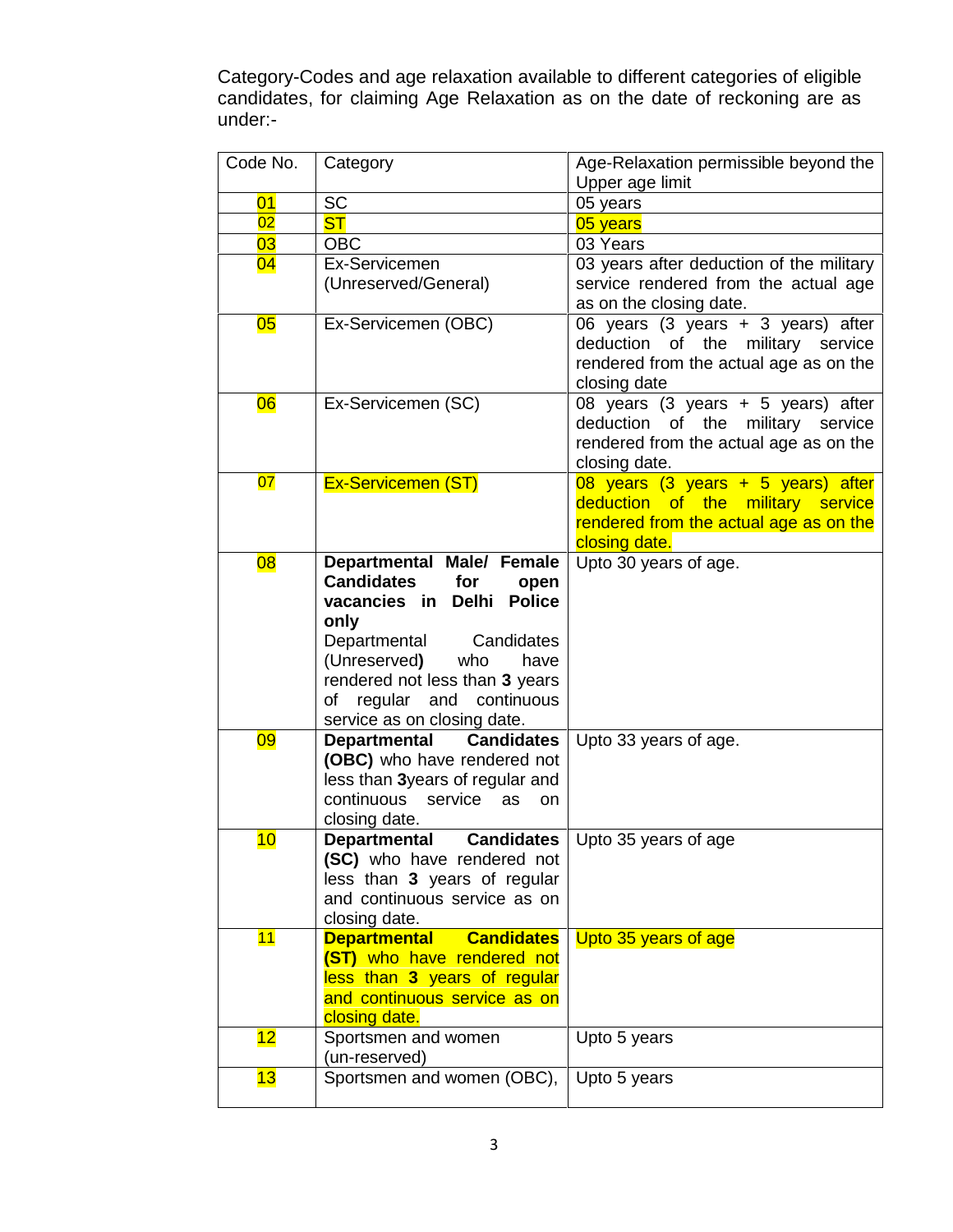Category-Codes and age relaxation available to different categories of eligible candidates, for claiming Age Relaxation as on the date of reckoning are as under:-

| Code No.  | Category                                          | Age-Relaxation permissible beyond the              |
|-----------|---------------------------------------------------|----------------------------------------------------|
|           |                                                   | Upper age limit                                    |
| 01        | <b>SC</b>                                         | 05 years                                           |
| 02        | <b>ST</b>                                         | 05 years                                           |
| 03        | <b>OBC</b>                                        | 03 Years                                           |
| 04        | Ex-Servicemen                                     | 03 years after deduction of the military           |
|           | (Unreserved/General)                              | service rendered from the actual age               |
|           |                                                   | as on the closing date.                            |
| 05        | Ex-Servicemen (OBC)                               | 06 years (3 years + 3 years) after                 |
|           |                                                   | deduction<br>of the<br>military service            |
|           |                                                   | rendered from the actual age as on the             |
| <b>06</b> | Ex-Servicemen (SC)                                | closing date<br>08 years (3 years + 5 years) after |
|           |                                                   | deduction of the<br>military service               |
|           |                                                   | rendered from the actual age as on the             |
|           |                                                   | closing date.                                      |
| 07        | <b>Ex-Servicemen (ST)</b>                         | 08 years (3 years + 5 years) after                 |
|           |                                                   | deduction of the military service                  |
|           |                                                   | rendered from the actual age as on the             |
|           |                                                   | closing date.                                      |
| <b>08</b> | Departmental Male/ Female                         | Upto 30 years of age.                              |
|           | <b>Candidates</b><br>for<br>open                  |                                                    |
|           | <b>Police</b><br>vacancies in<br><b>Delhi</b>     |                                                    |
|           | only                                              |                                                    |
|           | Departmental<br>Candidates                        |                                                    |
|           | (Unreserved)<br>who<br>have                       |                                                    |
|           | rendered not less than 3 years                    |                                                    |
|           | regular and continuous<br>of                      |                                                    |
|           | service as on closing date.                       |                                                    |
| <u>09</u> | <b>Candidates</b><br><b>Departmental</b>          | Upto 33 years of age.                              |
|           | (OBC) who have rendered not                       |                                                    |
|           | less than 3years of regular and                   |                                                    |
|           | continuous<br>service<br>as<br><b>on</b>          |                                                    |
| 10        | closing date.<br><b>Candidates</b>                |                                                    |
|           | <b>Departmental</b><br>(SC) who have rendered not | Upto 35 years of age                               |
|           | less than 3 years of regular                      |                                                    |
|           | and continuous service as on                      |                                                    |
|           | closing date.                                     |                                                    |
| 11        | <b>Departmental</b><br><b>Candidates</b>          | Upto 35 years of age                               |
|           | (ST) who have rendered not                        |                                                    |
|           | less than 3 years of regular                      |                                                    |
|           | and continuous service as on                      |                                                    |
|           | closing date.                                     |                                                    |
| 12        | Sportsmen and women                               | Upto 5 years                                       |
|           | (un-reserved)                                     |                                                    |
| 13        | Sportsmen and women (OBC),                        | Upto 5 years                                       |
|           |                                                   |                                                    |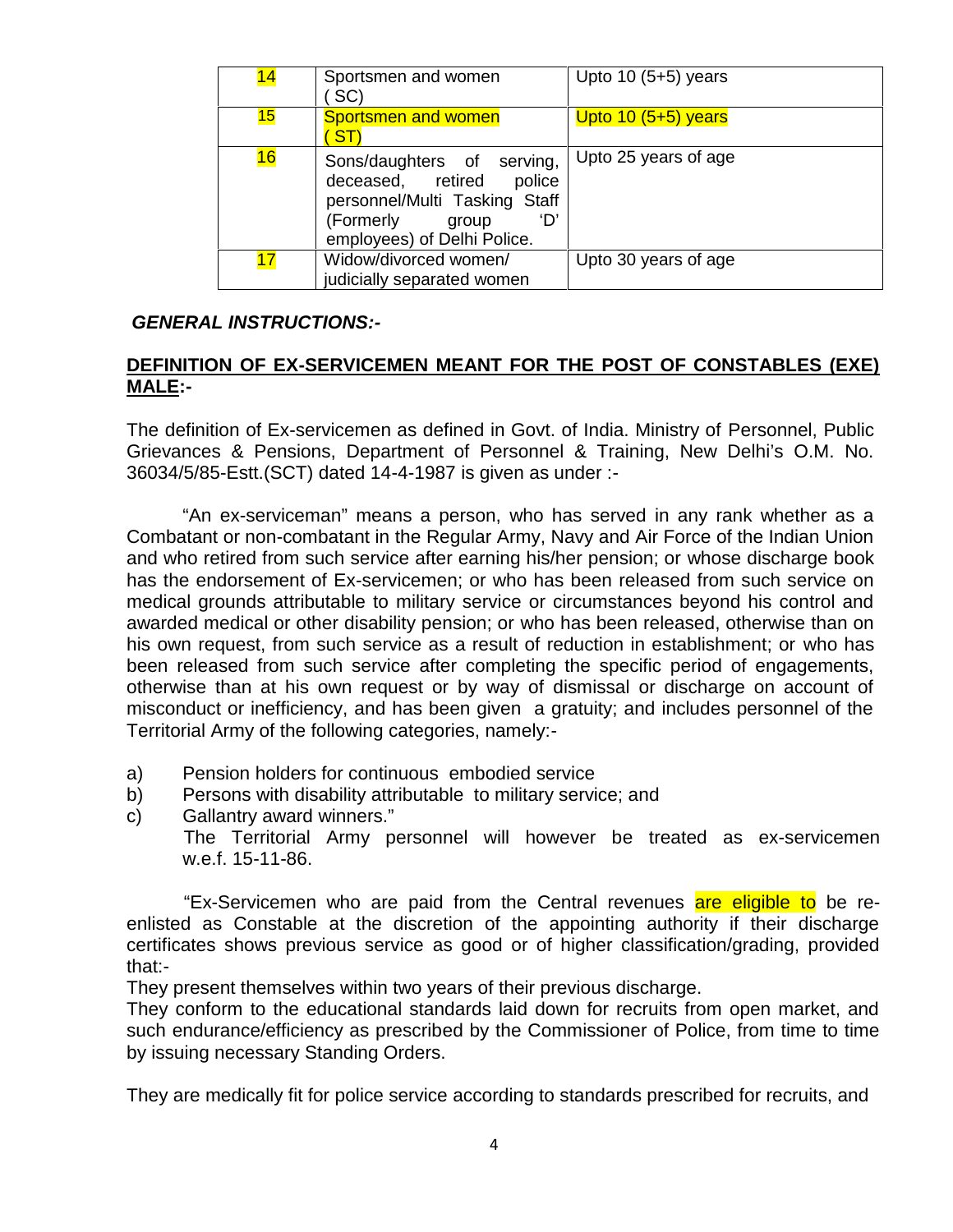| 14 | Sportsmen and women<br>SC)                                                                                                                             | Upto $10(5+5)$ years |
|----|--------------------------------------------------------------------------------------------------------------------------------------------------------|----------------------|
| 15 | <b>Sportsmen and women</b><br><b>ST</b>                                                                                                                | Upto $10(5+5)$ years |
| 16 | Sons/daughters of serving,<br>deceased, retired<br>police<br>personnel/Multi Tasking Staff<br>(Formerly<br>'N'<br>group<br>employees) of Delhi Police. | Upto 25 years of age |
| 17 | Widow/divorced women/<br>judicially separated women                                                                                                    | Upto 30 years of age |

#### *GENERAL INSTRUCTIONS:-*

# **1. DEFINITION OF EX-SERVICEMEN MEANT FOR THE POST OF CONSTABLES (EXE) MALE:-**

The definition of Ex-servicemen as defined in Govt. of India. Ministry of Personnel, Public Grievances & Pensions, Department of Personnel & Training, New Delhi's O.M. No. 36034/5/85-Estt.(SCT) dated 14-4-1987 is given as under :-

"An ex-serviceman" means a person, who has served in any rank whether as a Combatant or non-combatant in the Regular Army, Navy and Air Force of the Indian Union and who retired from such service after earning his/her pension; or whose discharge book has the endorsement of Ex-servicemen; or who has been released from such service on medical grounds attributable to military service or circumstances beyond his control and awarded medical or other disability pension; or who has been released, otherwise than on his own request, from such service as a result of reduction in establishment; or who has been released from such service after completing the specific period of engagements, otherwise than at his own request or by way of dismissal or discharge on account of misconduct or inefficiency, and has been given a gratuity; and includes personnel of the Territorial Army of the following categories, namely:-

- a) Pension holders for continuous embodied service
- b) Persons with disability attributable to military service; and
- c) Gallantry award winners."

The Territorial Army personnel will however be treated as ex-servicemen w.e.f. 15-11-86.

"Ex-Servicemen who are paid from the Central revenues are eligible to be reenlisted as Constable at the discretion of the appointing authority if their discharge certificates shows previous service as good or of higher classification/grading, provided that:-

They present themselves within two years of their previous discharge.

They conform to the educational standards laid down for recruits from open market, and such endurance/efficiency as prescribed by the Commissioner of Police, from time to time by issuing necessary Standing Orders.

They are medically fit for police service according to standards prescribed for recruits, and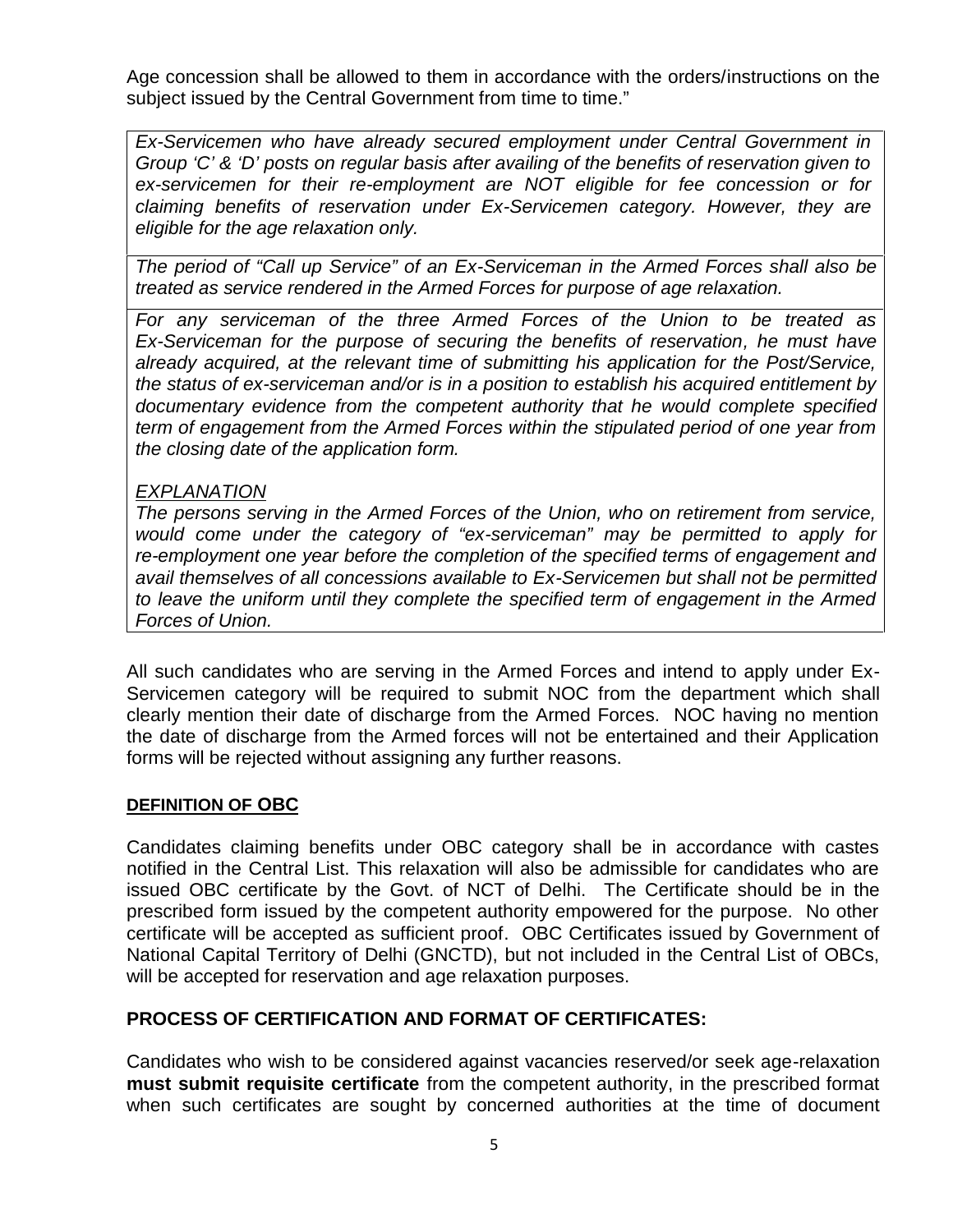Age concession shall be allowed to them in accordance with the orders/instructions on the subject issued by the Central Government from time to time."

*Ex-Servicemen who have already secured employment under Central Government in Group 'C' & 'D' posts on regular basis after availing of the benefits of reservation given to ex-servicemen for their re-employment are NOT eligible for fee concession or for claiming benefits of reservation under Ex-Servicemen category. However, they are eligible for the age relaxation only.*

*The period of "Call up Service" of an Ex-Serviceman in the Armed Forces shall also be treated as service rendered in the Armed Forces for purpose of age relaxation.*

*For any serviceman of the three Armed Forces of the Union to be treated as Ex-Serviceman for the purpose of securing the benefits of reservation, he must have already acquired, at the relevant time of submitting his application for the Post/Service, the status of ex-serviceman and/or is in a position to establish his acquired entitlement by documentary evidence from the competent authority that he would complete specified term of engagement from the Armed Forces within the stipulated period of one year from the closing date of the application form.*

# *EXPLANATION*

*The persons serving in the Armed Forces of the Union, who on retirement from service, would come under the category of "ex-serviceman" may be permitted to apply for re-employment one year before the completion of the specified terms of engagement and avail themselves of all concessions available to Ex-Servicemen but shall not be permitted to leave the uniform until they complete the specified term of engagement in the Armed Forces of Union.*

All such candidates who are serving in the Armed Forces and intend to apply under Ex- Servicemen category will be required to submit NOC from the department which shall clearly mention their date of discharge from the Armed Forces. NOC having no mention the date of discharge from the Armed forces will not be entertained and their Application forms will be rejected without assigning any further reasons.

#### **DEFINITION OF OBC**

Candidates claiming benefits under OBC category shall be in accordance with castes notified in the Central List. This relaxation will also be admissible for candidates who are issued OBC certificate by the Govt. of NCT of Delhi. The Certificate should be in the prescribed form issued by the competent authority empowered for the purpose. No other certificate will be accepted as sufficient proof. OBC Certificates issued by Government of National Capital Territory of Delhi (GNCTD), but not included in the Central List of OBCs, will be accepted for reservation and age relaxation purposes.

# **PROCESS OF CERTIFICATION AND FORMAT OF CERTIFICATES:**

Candidates who wish to be considered against vacancies reserved/or seek age-relaxation **must submit requisite certificate** from the competent authority, in the prescribed format when such certificates are sought by concerned authorities at the time of document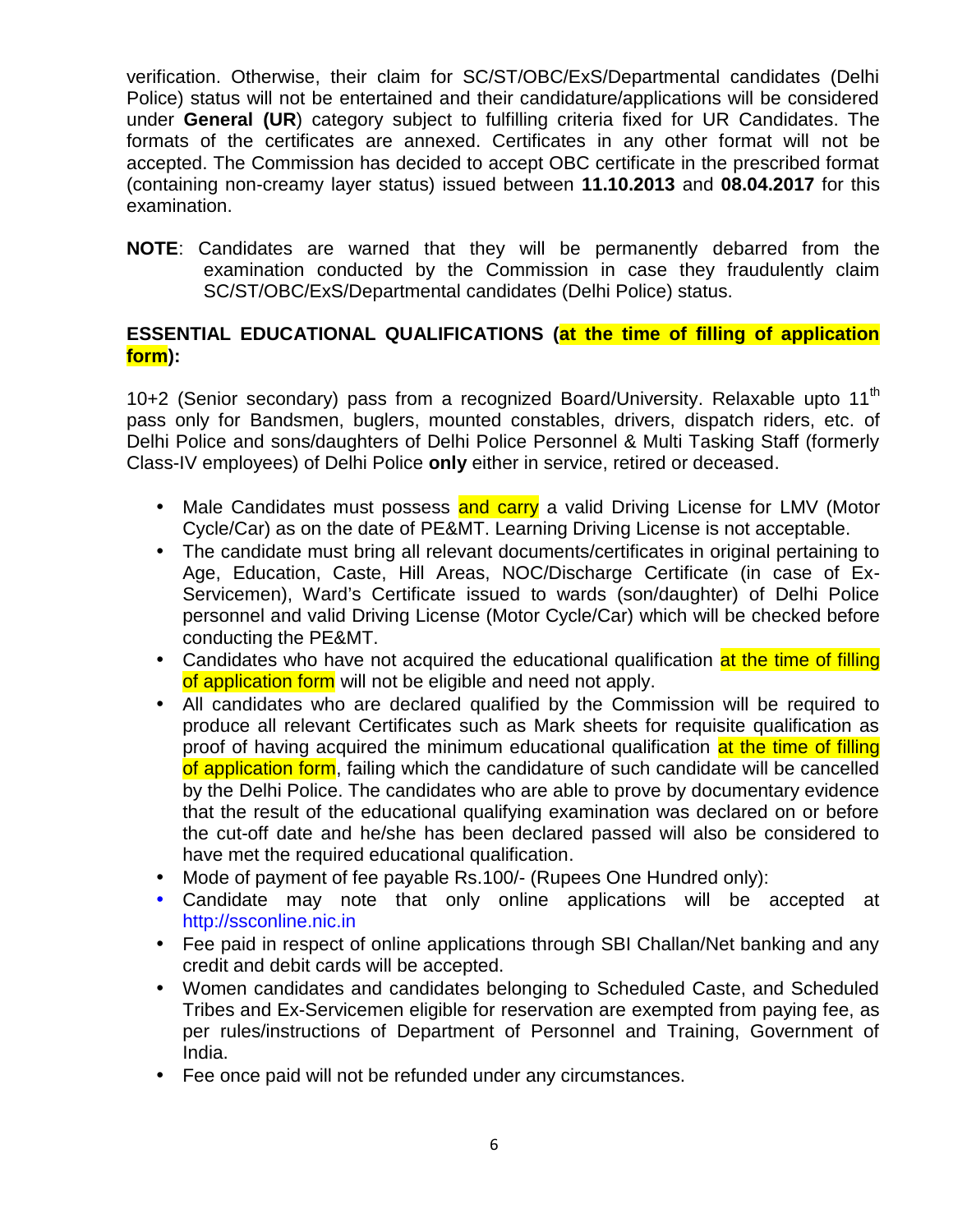verification. Otherwise, their claim for SC/ST/OBC/ExS/Departmental candidates (Delhi Police) status will not be entertained and their candidature/applications will be considered under **General (UR**) category subject to fulfilling criteria fixed for UR Candidates. The formats of the certificates are annexed. Certificates in any other format will not be accepted. The Commission has decided to accept OBC certificate in the prescribed format (containing non-creamy layer status) issued between **11.10.2013** and **08.04.2017** for this examination.

**NOTE**: Candidates are warned that they will be permanently debarred from the examination conducted by the Commission in case they fraudulently claim SC/ST/OBC/ExS/Departmental candidates (Delhi Police) status.

# **ESSENTIAL EDUCATIONAL QUALIFICATIONS (at the time of filling of application form):**

10+2 (Senior secondary) pass from a recognized Board/University. Relaxable upto 11<sup>th</sup> pass only for Bandsmen, buglers, mounted constables, drivers, dispatch riders, etc. of Delhi Police and sons/daughters of Delhi Police Personnel & Multi Tasking Staff (formerly Class-IV employees) of Delhi Police **only** either in service, retired or deceased.

- Male Candidates must possess and carry a valid Driving License for LMV (Motor Cycle/Car) as on the date of PE&MT. Learning Driving License is not acceptable.
- The candidate must bring all relevant documents/certificates in original pertaining to Age, Education, Caste, Hill Areas, NOC/Discharge Certificate (in case of Ex- Servicemen), Ward's Certificate issued to wards (son/daughter) of Delhi Police personnel and valid Driving License (Motor Cycle/Car) which will be checked before conducting the PE&MT.
- Candidates who have not acquired the educational qualification at the time of filling of application form will not be eligible and need not apply.
- All candidates who are declared qualified by the Commission will be required to produce all relevant Certificates such as Mark sheets for requisite qualification as proof of having acquired the minimum educational qualification at the time of filling of application form, failing which the candidature of such candidate will be cancelled by the Delhi Police. The candidates who are able to prove by documentary evidence that the result of the educational qualifying examination was declared on or before the cut-off date and he/she has been declared passed will also be considered to have met the required educational qualification.
- Mode of payment of fee payable Rs.100/- (Rupees One Hundred only):
- Candidate may note that only online applications will be accepted at http://ssconline.nic.in
- Fee paid in respect of online applications through SBI Challan/Net banking and any credit and debit cards will be accepted.
- Women candidates and candidates belonging to Scheduled Caste, and Scheduled Tribes and Ex-Servicemen eligible for reservation are exempted from paying fee, as per rules/instructions of Department of Personnel and Training, Government of India.
- Fee once paid will not be refunded under any circumstances.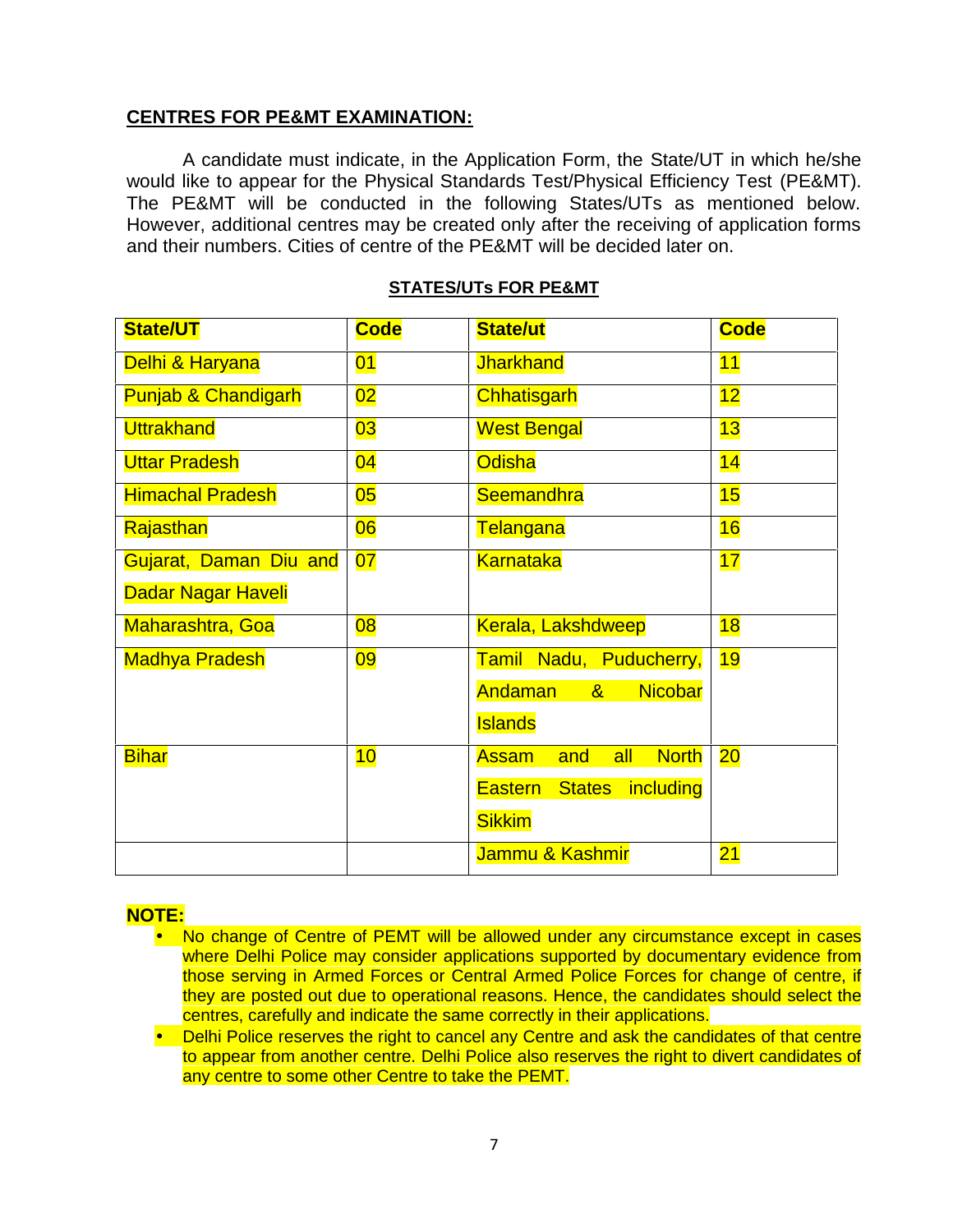#### **CENTRES FOR PE&MT EXAMINATION:**

A candidate must indicate, in the Application Form, the State/UT in which he/she would like to appear for the Physical Standards Test/Physical Efficiency Test (PE&MT). The PE&MT will be conducted in the following States/UTs as mentioned below. However, additional centres may be created only after the receiving of application forms and their numbers. Cities of centre of the PE&MT will be decided later on.

| <b>State/UT</b>                | <b>Code</b> | <b>State/ut</b>                              | <b>Code</b> |
|--------------------------------|-------------|----------------------------------------------|-------------|
| Delhi & Haryana                | 01          | <b>Jharkhand</b>                             | 11          |
| <b>Punjab &amp; Chandigarh</b> | 02          | <b>Chhatisgarh</b>                           | 12          |
| <b>Uttrakhand</b><br>03        |             | <b>West Bengal</b>                           | 13          |
| <b>Uttar Pradesh</b>           | 04          | <b>Odisha</b>                                | 14          |
| <b>Himachal Pradesh</b>        | 05          | <b>Seemandhra</b>                            | 15          |
| Rajasthan                      | 06          | <b>Telangana</b>                             | 16          |
| Gujarat, Daman Diu and         | 07          | <b>Karnataka</b>                             | 17          |
| Dadar Nagar Haveli             |             |                                              |             |
| Maharashtra, Goa               | 08          | <b>Kerala, Lakshdweep</b>                    | 18          |
| <b>Madhya Pradesh</b>          | 09          | Tamil Nadu, Puducherry,                      | 19          |
|                                |             | Andaman<br><b>Nicobar</b><br>8 <sub>1</sub>  |             |
|                                |             | <b>Islands</b>                               |             |
| <b>Bihar</b>                   | 10          | <b>North</b><br><b>Assam</b><br>all<br>and   | 20          |
|                                |             | including<br><b>Eastern</b><br><b>States</b> |             |
|                                |             | <b>Sikkim</b>                                |             |
|                                |             | Jammu & Kashmir                              | 21          |

#### **STATES/UTs FOR PE&MT**

# **NOTE:**

- No change of Centre of PEMT will be allowed under any circumstance except in cases where Delhi Police may consider applications supported by documentary evidence from those serving in Armed Forces or Central Armed Police Forces for change of centre, if they are posted out due to operational reasons. Hence, the candidates should select the centres, carefully and indicate the same correctly in their applications.
- Delhi Police reserves the right to cancel any Centre and ask the candidates of that centre to appear from another centre. Delhi Police also reserves the right to divert candidates of any centre to some other Centre to take the PEMT.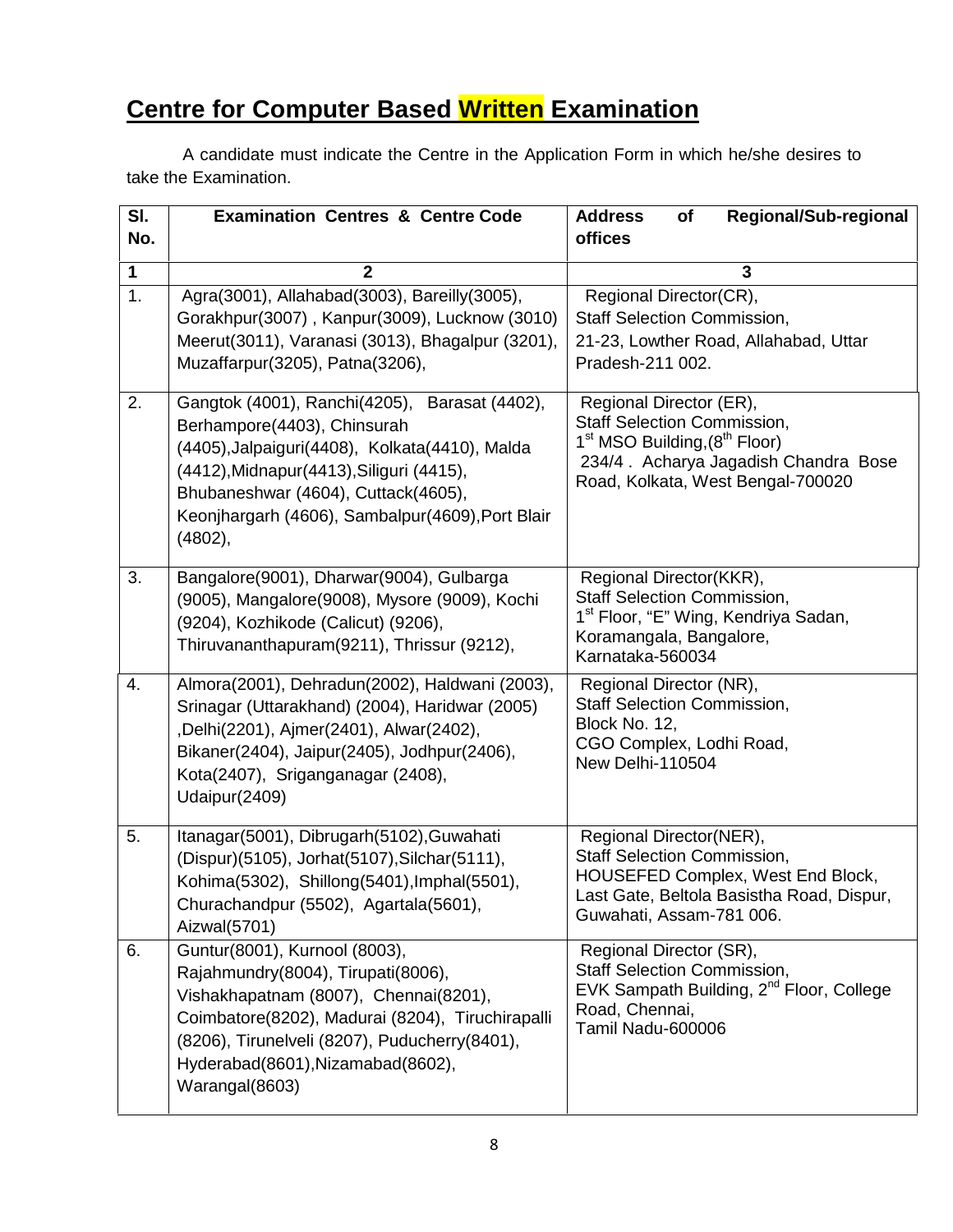# **Centre for Computer Based Written Examination**

A candidate must indicate the Centre in the Application Form in which he/she desires to take the Examination.

| SI.<br>No.       | <b>Examination Centres &amp; Centre Code</b>                                                                                                                                                                                                                                        | <b>Regional/Sub-regional</b><br><b>Address</b><br>of<br>offices                                                                                                                                     |
|------------------|-------------------------------------------------------------------------------------------------------------------------------------------------------------------------------------------------------------------------------------------------------------------------------------|-----------------------------------------------------------------------------------------------------------------------------------------------------------------------------------------------------|
| $\mathbf 1$      | $\mathbf{2}$                                                                                                                                                                                                                                                                        | 3                                                                                                                                                                                                   |
| $\overline{1}$ . | Agra(3001), Allahabad(3003), Bareilly(3005),<br>Gorakhpur(3007), Kanpur(3009), Lucknow (3010)<br>Meerut(3011), Varanasi (3013), Bhagalpur (3201),<br>Muzaffarpur(3205), Patna(3206),                                                                                                | Regional Director(CR),<br><b>Staff Selection Commission,</b><br>21-23, Lowther Road, Allahabad, Uttar<br>Pradesh-211 002.                                                                           |
| 2.               | Gangtok (4001), Ranchi(4205), Barasat (4402),<br>Berhampore(4403), Chinsurah<br>(4405), Jalpaiguri (4408), Kolkata (4410), Malda<br>(4412), Midnapur (4413), Siliguri (4415),<br>Bhubaneshwar (4604), Cuttack(4605),<br>Keonjhargarh (4606), Sambalpur(4609), Port Blair<br>(4802), | Regional Director (ER),<br><b>Staff Selection Commission,</b><br>1 <sup>st</sup> MSO Building, (8 <sup>th</sup> Floor)<br>234/4. Acharya Jagadish Chandra Bose<br>Road, Kolkata, West Bengal-700020 |
| 3.               | Bangalore(9001), Dharwar(9004), Gulbarga<br>(9005), Mangalore(9008), Mysore (9009), Kochi<br>(9204), Kozhikode (Calicut) (9206),<br>Thiruvananthapuram(9211), Thrissur (9212),                                                                                                      | Regional Director(KKR),<br><b>Staff Selection Commission,</b><br>1 <sup>st</sup> Floor, "E" Wing, Kendriya Sadan,<br>Koramangala, Bangalore,<br>Karnataka-560034                                    |
| 4.               | Almora(2001), Dehradun(2002), Haldwani (2003),<br>Srinagar (Uttarakhand) (2004), Haridwar (2005)<br>,Delhi(2201), Ajmer(2401), Alwar(2402),<br>Bikaner(2404), Jaipur(2405), Jodhpur(2406),<br>Kota(2407), Sriganganagar (2408),<br>Udaipur(2409)                                    | Regional Director (NR),<br><b>Staff Selection Commission,</b><br>Block No. 12,<br>CGO Complex, Lodhi Road,<br>New Delhi-110504                                                                      |
| 5.               | Itanagar(5001), Dibrugarh(5102), Guwahati<br>(Dispur)(5105), Jorhat(5107), Silchar(5111),<br>Kohima(5302), Shillong(5401), Imphal(5501),<br>Churachandpur (5502), Agartala(5601),<br>Aizwal(5701)                                                                                   | Regional Director(NER),<br><b>Staff Selection Commission,</b><br>HOUSEFED Complex, West End Block,<br>Last Gate, Beltola Basistha Road, Dispur,<br>Guwahati, Assam-781 006.                         |
| 6.               | Guntur(8001), Kurnool (8003),<br>Rajahmundry(8004), Tirupati(8006),<br>Vishakhapatnam (8007), Chennai(8201),<br>Coimbatore(8202), Madurai (8204), Tiruchirapalli<br>(8206), Tirunelveli (8207), Puducherry(8401),<br>Hyderabad(8601), Nizamabad(8602),<br>Warangal(8603)            | Regional Director (SR),<br><b>Staff Selection Commission,</b><br>EVK Sampath Building, 2 <sup>nd</sup> Floor, College<br>Road, Chennai,<br>Tamil Nadu-600006                                        |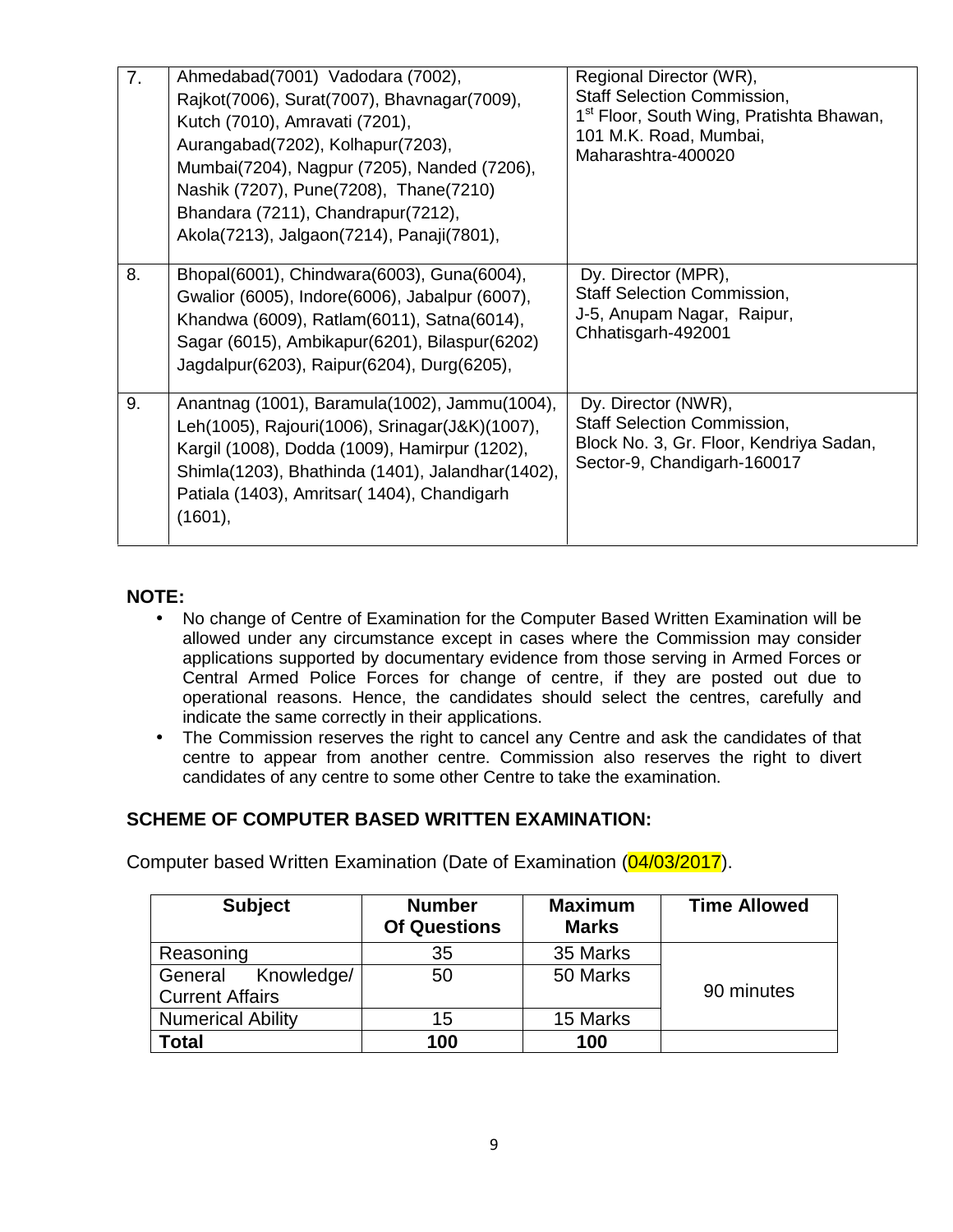| 7. | Ahmedabad(7001) Vadodara (7002),<br>Rajkot(7006), Surat(7007), Bhavnagar(7009),<br>Kutch (7010), Amravati (7201),<br>Aurangabad(7202), Kolhapur(7203),<br>Mumbai(7204), Nagpur (7205), Nanded (7206),<br>Nashik (7207), Pune(7208), Thane(7210)<br>Bhandara (7211), Chandrapur(7212),<br>Akola(7213), Jalgaon(7214), Panaji(7801), | Regional Director (WR),<br><b>Staff Selection Commission,</b><br>1 <sup>st</sup> Floor, South Wing, Pratishta Bhawan,<br>101 M.K. Road, Mumbai,<br>Maharashtra-400020 |
|----|------------------------------------------------------------------------------------------------------------------------------------------------------------------------------------------------------------------------------------------------------------------------------------------------------------------------------------|-----------------------------------------------------------------------------------------------------------------------------------------------------------------------|
| 8. | Bhopal(6001), Chindwara(6003), Guna(6004),<br>Gwalior (6005), Indore(6006), Jabalpur (6007),<br>Khandwa (6009), Ratlam(6011), Satna(6014),<br>Sagar (6015), Ambikapur (6201), Bilaspur (6202)<br>Jagdalpur(6203), Raipur(6204), Durg(6205),                                                                                        | Dy. Director (MPR),<br><b>Staff Selection Commission,</b><br>J-5, Anupam Nagar, Raipur,<br>Chhatisgarh-492001                                                         |
| 9. | Anantnag (1001), Baramula(1002), Jammu(1004),<br>Leh(1005), Rajouri(1006), Srinagar(J&K)(1007),<br>Kargil (1008), Dodda (1009), Hamirpur (1202),<br>Shimla(1203), Bhathinda (1401), Jalandhar(1402),<br>Patiala (1403), Amritsar (1404), Chandigarh<br>(1601),                                                                     | Dy. Director (NWR),<br><b>Staff Selection Commission,</b><br>Block No. 3, Gr. Floor, Kendriya Sadan,<br>Sector-9, Chandigarh-160017                                   |

# **NOTE:**

- No change of Centre of Examination for the Computer Based Written Examination will be allowed under any circumstance except in cases where the Commission may consider applications supported by documentary evidence from those serving in Armed Forces or Central Armed Police Forces for change of centre, if they are posted out due to operational reasons. Hence, the candidates should select the centres, carefully and indicate the same correctly in their applications.
- The Commission reserves the right to cancel any Centre and ask the candidates of that centre to appear from another centre. Commission also reserves the right to divert candidates of any centre to some other Centre to take the examination.

# **SCHEME OF COMPUTER BASED WRITTEN EXAMINATION:**

Computer based Written Examination (Date of Examination (04/03/2017).

| <b>Subject</b>                                  | <b>Number</b><br><b>Of Questions</b> | <b>Maximum</b><br><b>Marks</b> | <b>Time Allowed</b> |
|-------------------------------------------------|--------------------------------------|--------------------------------|---------------------|
| Reasoning                                       | 35                                   | 35 Marks                       |                     |
| General<br>Knowledge/<br><b>Current Affairs</b> | 50                                   | 50 Marks                       | 90 minutes          |
| <b>Numerical Ability</b>                        | 15                                   | 15 Marks                       |                     |
| <b>Total</b>                                    | 100                                  | 100                            |                     |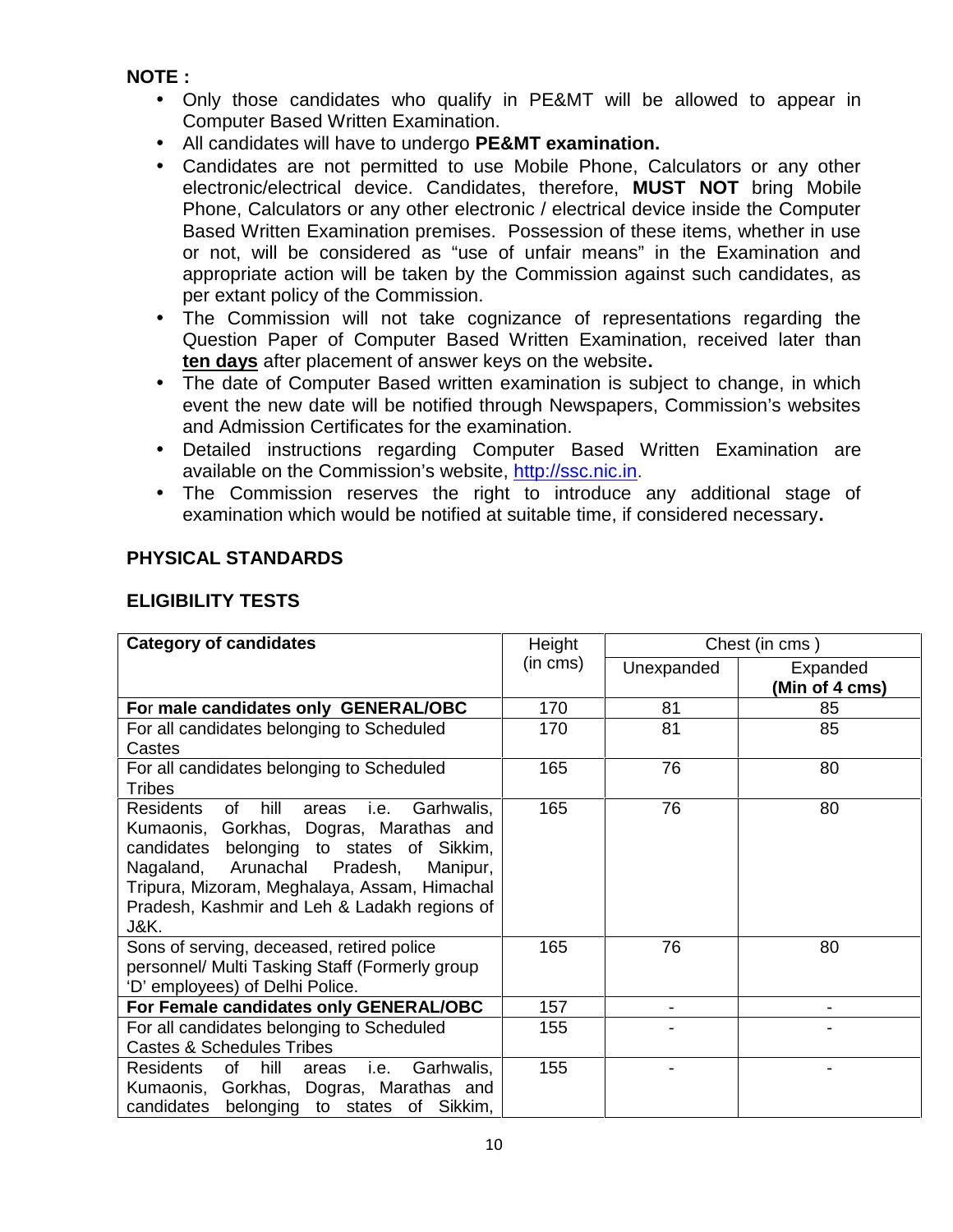# **NOTE :**

- Only those candidates who qualify in PE&MT will be allowed to appear in Computer Based Written Examination.
- All candidates will have to undergo **PE&MT examination.**
- Candidates are not permitted to use Mobile Phone, Calculators or any other electronic/electrical device. Candidates, therefore, **MUST NOT** bring Mobile Phone, Calculators or any other electronic / electrical device inside the Computer Based Written Examination premises. Possession of these items, whether in use or not, will be considered as "use of unfair means" in the Examination and appropriate action will be taken by the Commission against such candidates, as per extant policy of the Commission.
- The Commission will not take cognizance of representations regarding the Question Paper of Computer Based Written Examination, received later than **ten days** after placement of answer keys on the website**.**
- The date of Computer Based written examination is subject to change, in which event the new date will be notified through Newspapers, Commission's websites and Admission Certificates for the examination.
- Detailed instructions regarding Computer Based Written Examination are available on the Commission's website, http://ssc.nic.in.
- The Commission reserves the right to introduce any additional stage of examination which would be notified at suitable time, if considered necessary**.**

# **PHYSICAL STANDARDS**

# **ELIGIBILITY TESTS**

| <b>Category of candidates</b>                                                                                                                                                                                                                                                                            | Height        | Chest (in cms) |                            |  |
|----------------------------------------------------------------------------------------------------------------------------------------------------------------------------------------------------------------------------------------------------------------------------------------------------------|---------------|----------------|----------------------------|--|
|                                                                                                                                                                                                                                                                                                          | $(in \, cms)$ | Unexpanded     | Expanded<br>(Min of 4 cms) |  |
| For male candidates only GENERAL/OBC                                                                                                                                                                                                                                                                     | 170           | 81             | 85                         |  |
| For all candidates belonging to Scheduled<br>Castes                                                                                                                                                                                                                                                      | 170           | 81             | 85                         |  |
| For all candidates belonging to Scheduled<br>Tribes                                                                                                                                                                                                                                                      | 165           | 76             | 80                         |  |
| hill<br>Garhwalis,<br>Residents<br>of<br>areas<br>i.e.<br>Kumaonis, Gorkhas, Dogras, Marathas and<br>belonging to states of Sikkim,<br>candidates<br>Arunachal Pradesh,<br>Nagaland,<br>Manipur,<br>Tripura, Mizoram, Meghalaya, Assam, Himachal<br>Pradesh, Kashmir and Leh & Ladakh regions of<br>J&K. | 165           | 76             | 80                         |  |
| Sons of serving, deceased, retired police<br>personnel/ Multi Tasking Staff (Formerly group<br>'D' employees) of Delhi Police.                                                                                                                                                                           | 165           | 76             | 80                         |  |
| For Female candidates only GENERAL/OBC                                                                                                                                                                                                                                                                   | 157           | $\blacksquare$ |                            |  |
| For all candidates belonging to Scheduled<br><b>Castes &amp; Schedules Tribes</b>                                                                                                                                                                                                                        | 155           |                |                            |  |
| of hill<br>Residents<br>Garhwalis,<br>i.e.<br>areas<br>Kumaonis, Gorkhas, Dogras, Marathas and<br>candidates<br>belonging to states of Sikkim,                                                                                                                                                           | 155           |                |                            |  |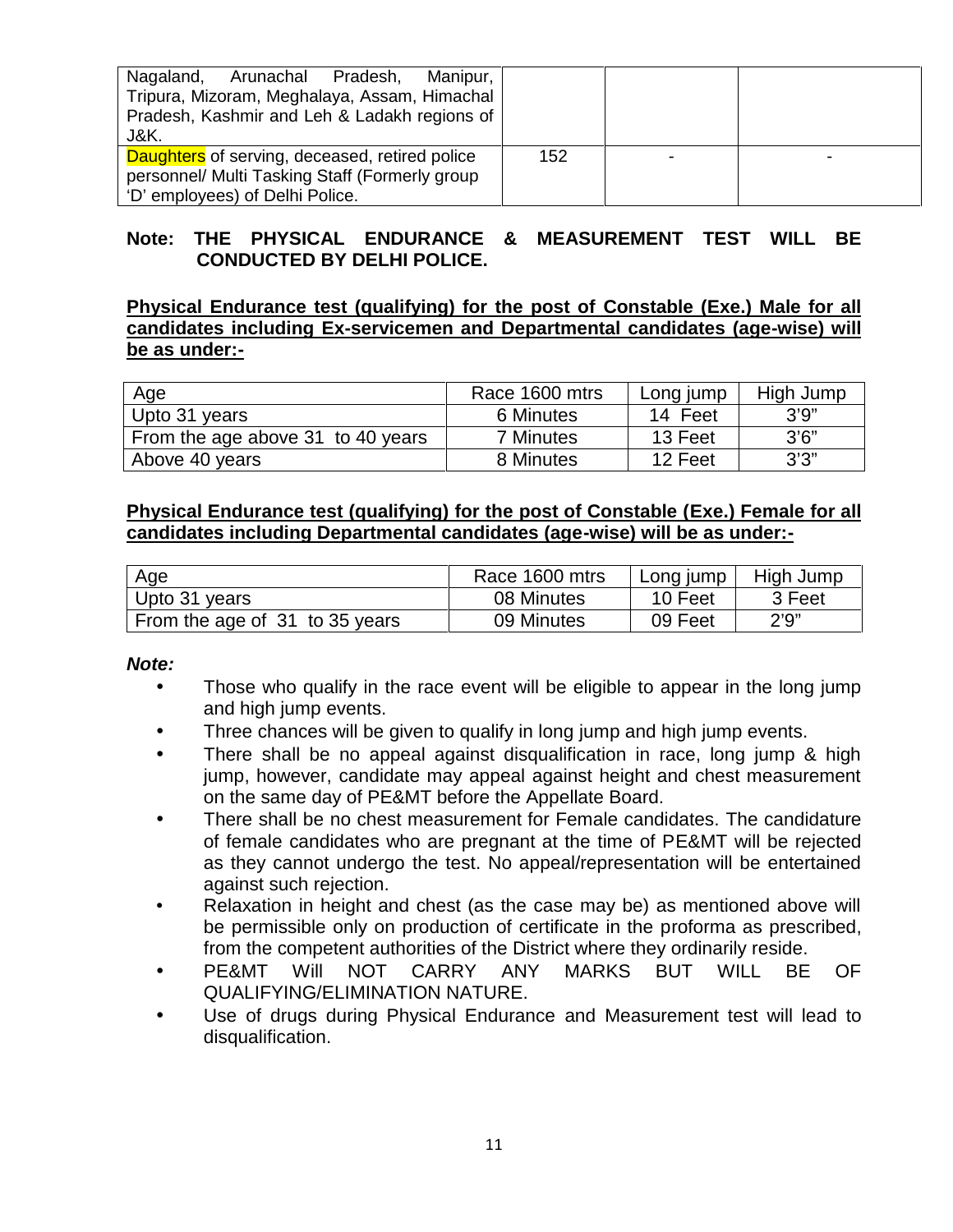| Nagaland, Arunachal Pradesh,<br>Manipur,<br>Tripura, Mizoram, Meghalaya, Assam, Himachal<br>Pradesh, Kashmir and Leh & Ladakh regions of<br>J&K. |     |  |
|--------------------------------------------------------------------------------------------------------------------------------------------------|-----|--|
| Daughters of serving, deceased, retired police<br>personnel/ Multi Tasking Staff (Formerly group<br>'D' employees) of Delhi Police.              | 152 |  |

# **Note: THE PHYSICAL ENDURANCE & MEASUREMENT TEST WILL BE CONDUCTED BY DELHI POLICE.**

# **Physical Endurance test (qualifying) for the post of Constable (Exe.) Male for all candidates including Ex-servicemen and Departmental candidates (age-wise) will be as under:-**

| Age                               | Race 1600 mtrs   | Long jump | High Jump |
|-----------------------------------|------------------|-----------|-----------|
| Upto 31 years                     | 6 Minutes        | 14 Feet   | 3'9''     |
| From the age above 31 to 40 years | <b>7 Minutes</b> | 13 Feet   | 3'6''     |
| Above 40 years                    | 8 Minutes        | 12 Feet   | 3'3''     |

#### **Physical Endurance test (qualifying) for the post of Constable (Exe.) Female for all candidates including Departmental candidates (age-wise) will be as under:-**

| Age                            | Race 1600 mtrs | Long jump | High Jump |
|--------------------------------|----------------|-----------|-----------|
| Upto 31 years                  | 08 Minutes     | 10 Feet   | 3 Feet    |
| From the age of 31 to 35 years | 09 Minutes     | 09 Feet   | 2'9''     |

#### *Note:*

- Those who qualify in the race event will be eligible to appear in the long jump and high jump events.
- Three chances will be given to qualify in long jump and high jump events.
- There shall be no appeal against disqualification in race, long jump & high jump, however, candidate may appeal against height and chest measurement on the same day of PE&MT before the Appellate Board.
- There shall be no chest measurement for Female candidates. The candidature of female candidates who are pregnant at the time of PE&MT will be rejected as they cannot undergo the test. No appeal/representation will be entertained against such rejection.
- Relaxation in height and chest (as the case may be) as mentioned above will be permissible only on production of certificate in the proforma as prescribed, from the competent authorities of the District where they ordinarily reside.
- PE&MT Will NOT CARRY ANY MARKS BUT WILL BE OF QUALIFYING/ELIMINATION NATURE.
- Use of drugs during Physical Endurance and Measurement test will lead to disqualification.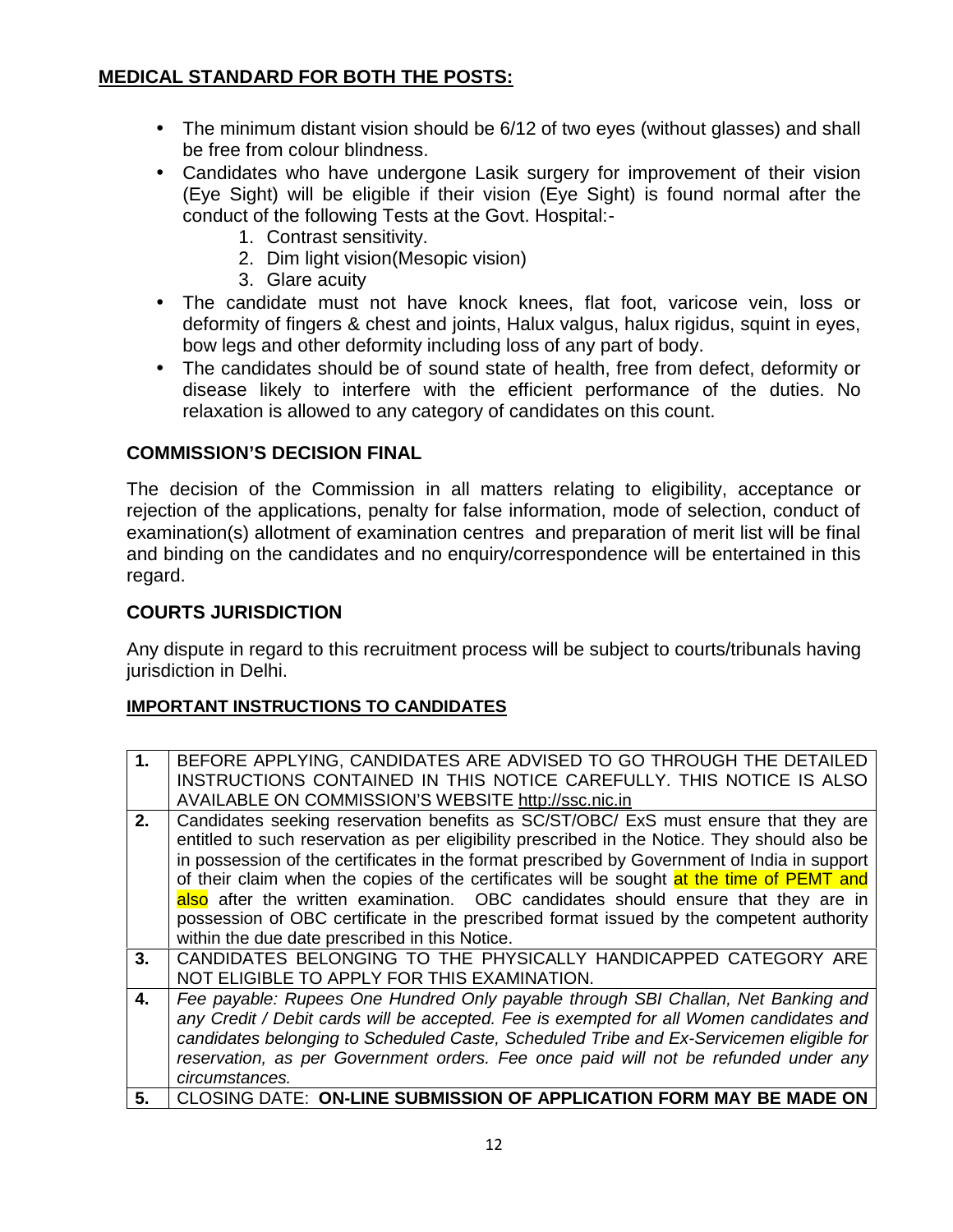# **MEDICAL STANDARD FOR BOTH THE POSTS:**

- The minimum distant vision should be 6/12 of two eyes (without glasses) and shall be free from colour blindness.
- Candidates who have undergone Lasik surgery for improvement of their vision (Eye Sight) will be eligible if their vision (Eye Sight) is found normal after the conduct of the following Tests at the Govt. Hospital:-
	- 1. Contrast sensitivity.
	- 2. Dim light vision(Mesopic vision)
	- 3. Glare acuity
- The candidate must not have knock knees, flat foot, varicose vein, loss or deformity of fingers & chest and joints, Halux valgus, halux rigidus, squint in eyes, bow legs and other deformity including loss of any part of body.
- The candidates should be of sound state of health, free from defect, deformity or disease likely to interfere with the efficient performance of the duties. No relaxation is allowed to any category of candidates on this count.

# **COMMISSION'S DECISION FINAL**

The decision of the Commission in all matters relating to eligibility, acceptance or rejection of the applications, penalty for false information, mode of selection, conduct of examination(s) allotment of examination centres and preparation of merit list will be final and binding on the candidates and no enquiry/correspondence will be entertained in this regard.

# **COURTS JURISDICTION**

Any dispute in regard to this recruitment process will be subject to courts/tribunals having jurisdiction in Delhi.

#### **IMPORTANT INSTRUCTIONS TO CANDIDATES**

| 1 <sub>1</sub> | BEFORE APPLYING, CANDIDATES ARE ADVISED TO GO THROUGH THE DETAILED                            |
|----------------|-----------------------------------------------------------------------------------------------|
|                | INSTRUCTIONS CONTAINED IN THIS NOTICE CAREFULLY. THIS NOTICE IS ALSO                          |
|                | AVAILABLE ON COMMISSION'S WEBSITE http://ssc.nic.in                                           |
| 2.             | Candidates seeking reservation benefits as SC/ST/OBC/ ExS must ensure that they are           |
|                | entitled to such reservation as per eligibility prescribed in the Notice. They should also be |
|                | in possession of the certificates in the format prescribed by Government of India in support  |
|                | of their claim when the copies of the certificates will be sought at the time of PEMT and     |
|                | also after the written examination. OBC candidates should ensure that they are in             |
|                |                                                                                               |
|                | possession of OBC certificate in the prescribed format issued by the competent authority      |
|                | within the due date prescribed in this Notice.                                                |
| 3.             | CANDIDATES BELONGING TO THE PHYSICALLY HANDICAPPED CATEGORY ARE                               |
|                | NOT ELIGIBLE TO APPLY FOR THIS EXAMINATION.                                                   |
| 4.             | Fee payable: Rupees One Hundred Only payable through SBI Challan, Net Banking and             |
|                | any Credit / Debit cards will be accepted. Fee is exempted for all Women candidates and       |
|                | candidates belonging to Scheduled Caste, Scheduled Tribe and Ex-Servicemen eligible for       |
|                |                                                                                               |
|                | reservation, as per Government orders. Fee once paid will not be refunded under any           |
|                | circumstances.                                                                                |
| 5.             | CLOSING DATE: ON-LINE SUBMISSION OF APPLICATION FORM MAY BE MADE ON                           |
|                |                                                                                               |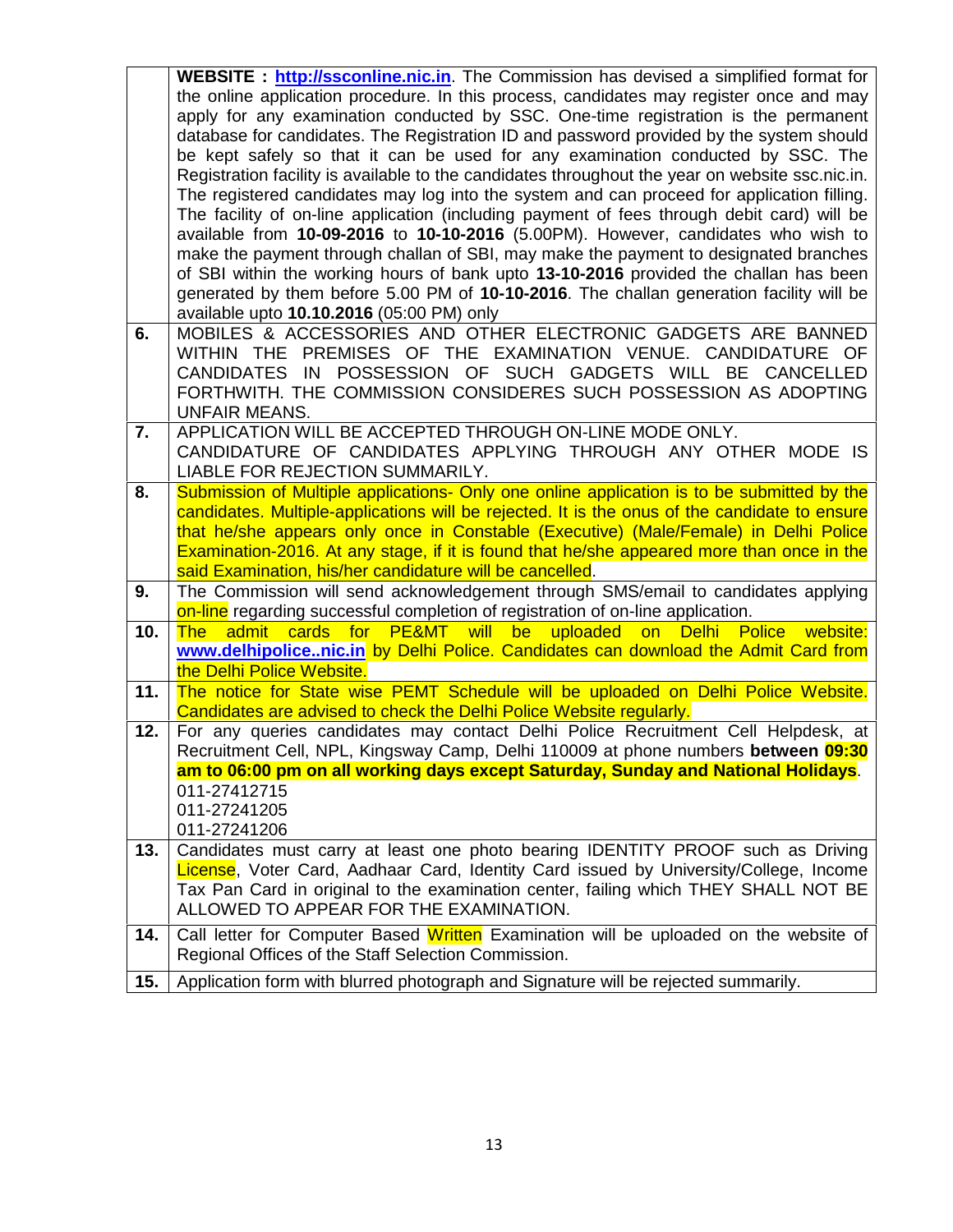|            | <b>WEBSITE</b> : <b>http://ssconline.nic.in</b> . The Commission has devised a simplified format for<br>the online application procedure. In this process, candidates may register once and may<br>apply for any examination conducted by SSC. One-time registration is the permanent<br>database for candidates. The Registration ID and password provided by the system should<br>be kept safely so that it can be used for any examination conducted by SSC. The<br>Registration facility is available to the candidates throughout the year on website ssc.nic.in.<br>The registered candidates may log into the system and can proceed for application filling.<br>The facility of on-line application (including payment of fees through debit card) will be<br>available from 10-09-2016 to 10-10-2016 (5.00PM). However, candidates who wish to<br>make the payment through challan of SBI, may make the payment to designated branches<br>of SBI within the working hours of bank upto 13-10-2016 provided the challan has been<br>generated by them before 5.00 PM of 10-10-2016. The challan generation facility will be |
|------------|-------------------------------------------------------------------------------------------------------------------------------------------------------------------------------------------------------------------------------------------------------------------------------------------------------------------------------------------------------------------------------------------------------------------------------------------------------------------------------------------------------------------------------------------------------------------------------------------------------------------------------------------------------------------------------------------------------------------------------------------------------------------------------------------------------------------------------------------------------------------------------------------------------------------------------------------------------------------------------------------------------------------------------------------------------------------------------------------------------------------------------------|
| 6.         | available upto 10.10.2016 (05:00 PM) only<br>MOBILES & ACCESSORIES AND OTHER ELECTRONIC GADGETS ARE BANNED<br>WITHIN THE PREMISES OF THE EXAMINATION VENUE. CANDIDATURE OF<br>CANDIDATES IN POSSESSION OF SUCH GADGETS WILL BE CANCELLED<br>FORTHWITH. THE COMMISSION CONSIDERES SUCH POSSESSION AS ADOPTING<br><b>UNFAIR MEANS.</b>                                                                                                                                                                                                                                                                                                                                                                                                                                                                                                                                                                                                                                                                                                                                                                                                |
| 7.         | APPLICATION WILL BE ACCEPTED THROUGH ON-LINE MODE ONLY.<br>CANDIDATURE OF CANDIDATES APPLYING THROUGH ANY OTHER MODE IS<br>LIABLE FOR REJECTION SUMMARILY.                                                                                                                                                                                                                                                                                                                                                                                                                                                                                                                                                                                                                                                                                                                                                                                                                                                                                                                                                                          |
| 8.         | Submission of Multiple applications- Only one online application is to be submitted by the<br>candidates. Multiple-applications will be rejected. It is the onus of the candidate to ensure<br>that he/she appears only once in Constable (Executive) (Male/Female) in Delhi Police<br>Examination-2016. At any stage, if it is found that he/she appeared more than once in the<br>said Examination, his/her candidature will be cancelled.                                                                                                                                                                                                                                                                                                                                                                                                                                                                                                                                                                                                                                                                                        |
| 9.         | The Commission will send acknowledgement through SMS/email to candidates applying<br>on-line regarding successful completion of registration of on-line application.                                                                                                                                                                                                                                                                                                                                                                                                                                                                                                                                                                                                                                                                                                                                                                                                                                                                                                                                                                |
| 10.        | admit cards for PE&MT will be uploaded on Delhi Police<br><b>The</b><br>website:<br>www.delhipolicenic.in by Delhi Police. Candidates can download the Admit Card from<br>the Delhi Police Website.                                                                                                                                                                                                                                                                                                                                                                                                                                                                                                                                                                                                                                                                                                                                                                                                                                                                                                                                 |
| 11.<br>12. | The notice for State wise PEMT Schedule will be uploaded on Delhi Police Website.<br>Candidates are advised to check the Delhi Police Website regularly.<br>For any queries candidates may contact Delhi Police Recruitment Cell Helpdesk, at<br>Recruitment Cell, NPL, Kingsway Camp, Delhi 110009 at phone numbers between 09:30                                                                                                                                                                                                                                                                                                                                                                                                                                                                                                                                                                                                                                                                                                                                                                                                  |
|            | am to 06:00 pm on all working days except Saturday, Sunday and National Holidays.<br>011-27412715<br>011-27241205<br>011-27241206                                                                                                                                                                                                                                                                                                                                                                                                                                                                                                                                                                                                                                                                                                                                                                                                                                                                                                                                                                                                   |
| 13.        | Candidates must carry at least one photo bearing IDENTITY PROOF such as Driving<br>License, Voter Card, Aadhaar Card, Identity Card issued by University/College, Income<br>Tax Pan Card in original to the examination center, failing which THEY SHALL NOT BE<br>ALLOWED TO APPEAR FOR THE EXAMINATION.                                                                                                                                                                                                                                                                                                                                                                                                                                                                                                                                                                                                                                                                                                                                                                                                                           |
| 14.        | Call letter for Computer Based Written Examination will be uploaded on the website of<br>Regional Offices of the Staff Selection Commission.                                                                                                                                                                                                                                                                                                                                                                                                                                                                                                                                                                                                                                                                                                                                                                                                                                                                                                                                                                                        |
| 15.        | Application form with blurred photograph and Signature will be rejected summarily.                                                                                                                                                                                                                                                                                                                                                                                                                                                                                                                                                                                                                                                                                                                                                                                                                                                                                                                                                                                                                                                  |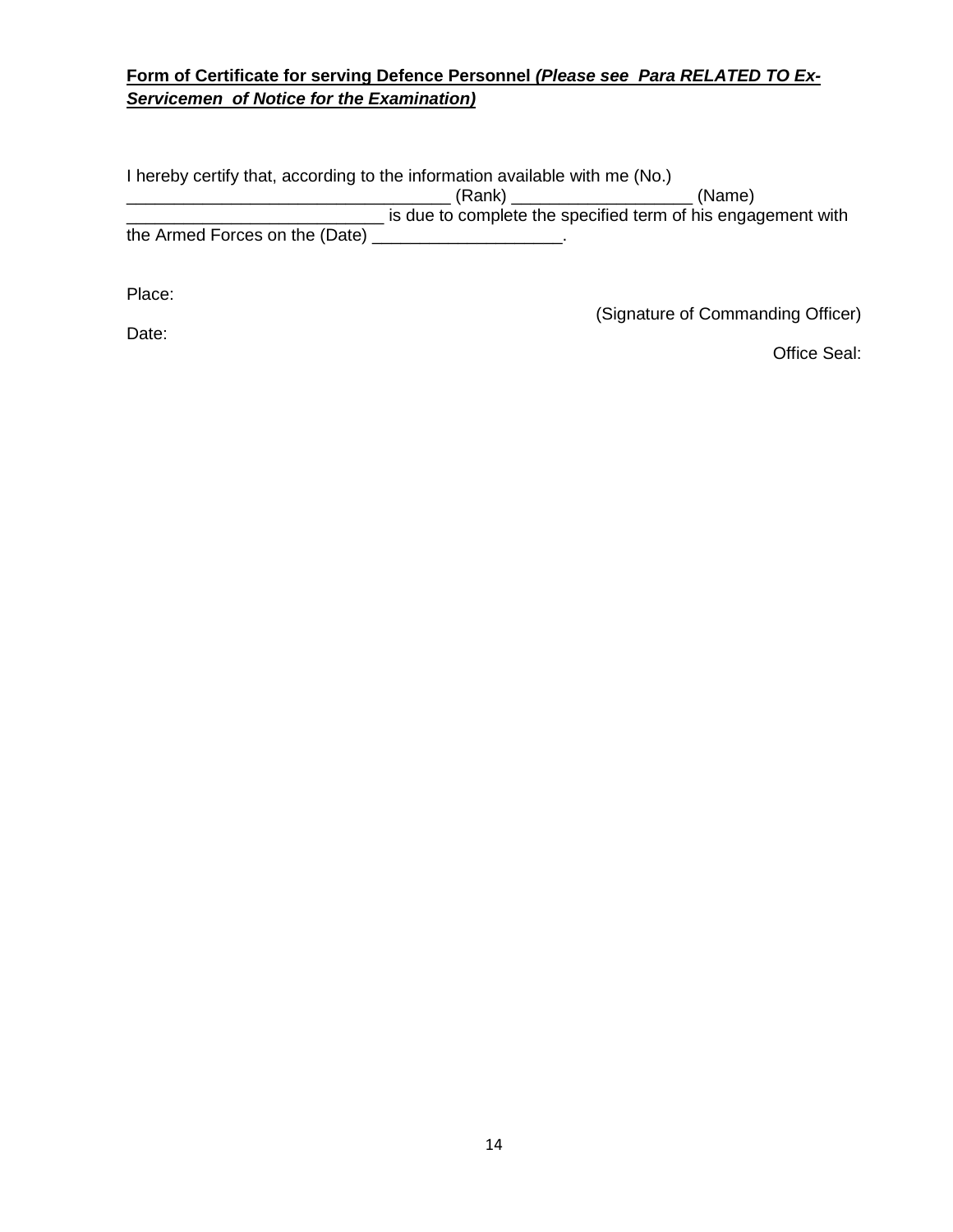# **Form of Certificate for serving Defence Personnel** *(Please see Para RELATED TO Ex- Servicemen of Notice for the Examination)*

I hereby certify that, according to the information available with me (No.) \_\_\_\_\_\_\_\_\_\_\_\_\_\_\_\_\_\_\_\_\_\_\_\_\_\_\_\_\_\_\_\_\_\_ (Rank) \_\_\_\_\_\_\_\_\_\_\_\_\_\_\_\_\_\_\_ (Name) and the specified term of his engagement with  $\frac{1}{2}$  is due to complete the specified term of his engagement with the Armed Forces on the (Date) \_\_\_\_\_\_\_\_\_\_\_\_\_\_\_\_\_\_\_\_.

Place:

(Signature of Commanding Officer)

Date:

Office Seal: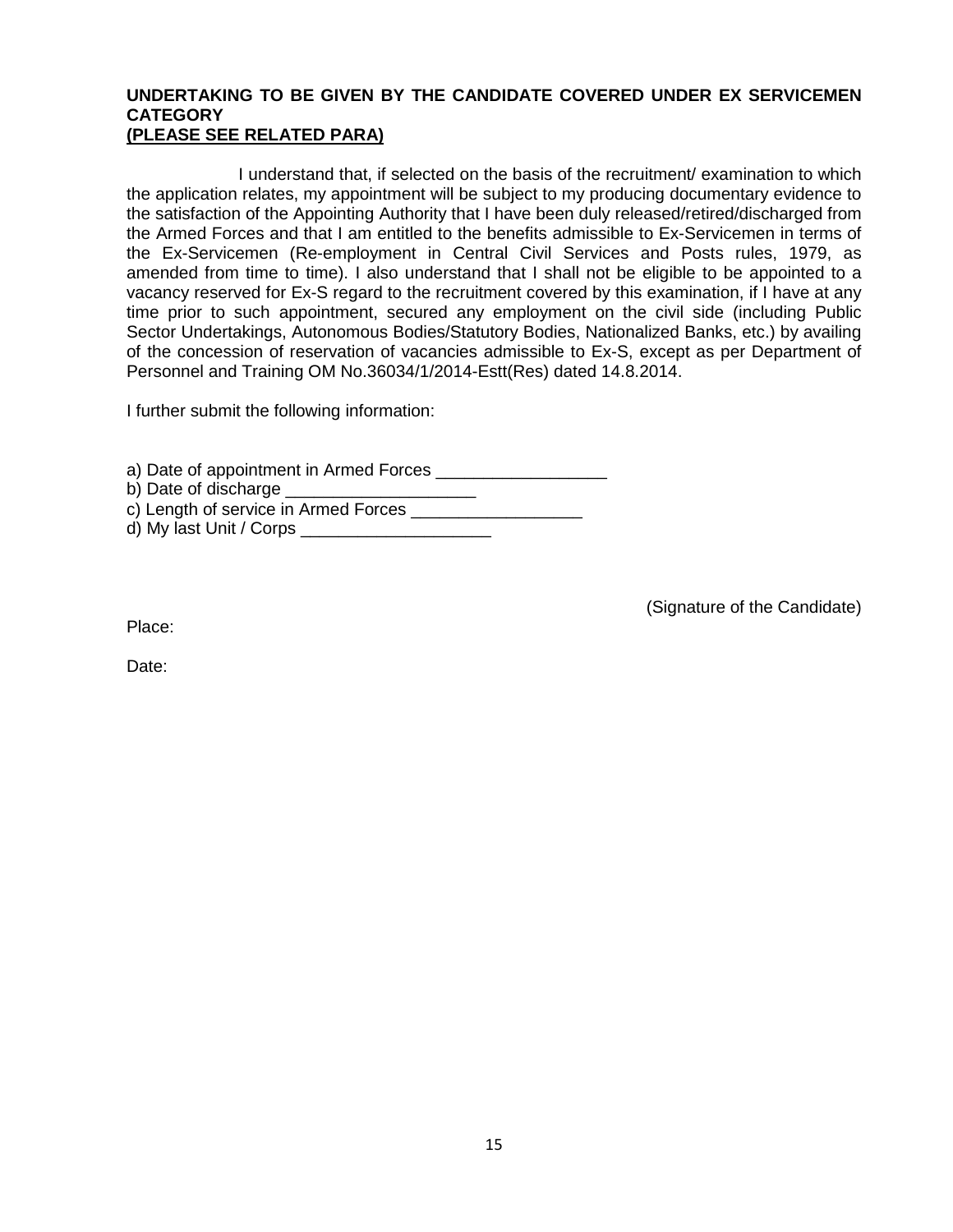#### **UNDERTAKING TO BE GIVEN BY THE CANDIDATE COVERED UNDER EX SERVICEMEN CATEGORY (PLEASE SEE RELATED PARA)**

I understand that, if selected on the basis of the recruitment/ examination to which the application relates, my appointment will be subject to my producing documentary evidence to the satisfaction of the Appointing Authority that I have been duly released/retired/discharged from the Armed Forces and that I am entitled to the benefits admissible to Ex-Servicemen in terms of the Ex-Servicemen (Re-employment in Central Civil Services and Posts rules, 1979, as amended from time to time). I also understand that I shall not be eligible to be appointed to a vacancy reserved for Ex-S regard to the recruitment covered by this examination, if I have at any time prior to such appointment, secured any employment on the civil side (including Public Sector Undertakings, Autonomous Bodies/Statutory Bodies, Nationalized Banks, etc.) by availing of the concession of reservation of vacancies admissible to Ex-S, except as per Department of Personnel and Training OM No.36034/1/2014-Estt(Res) dated 14.8.2014.

I further submit the following information:

a) Date of appointment in Armed Forces \_\_\_\_\_\_\_\_\_\_\_\_\_\_\_\_\_\_ b) Date of discharge \_\_\_\_\_\_\_\_\_\_\_\_\_\_\_\_\_\_\_\_

c) Length of service in Armed Forces \_\_\_\_\_\_\_\_\_\_\_\_\_\_\_\_\_\_

d) My last Unit / Corps

(Signature of the Candidate)

Place:

Date: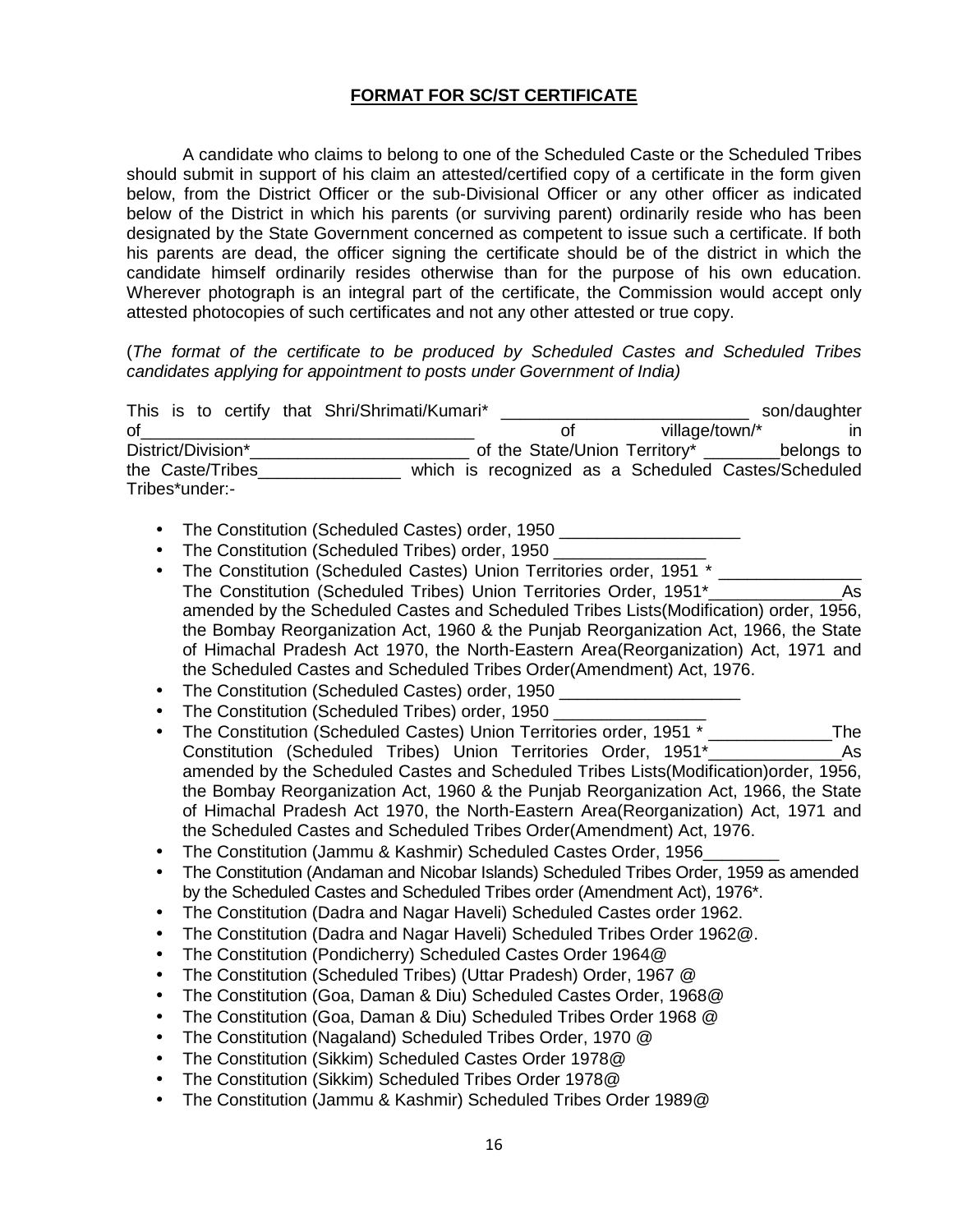#### **FORMAT FOR SC/ST CERTIFICATE**

A candidate who claims to belong to one of the Scheduled Caste or the Scheduled Tribes should submit in support of his claim an attested/certified copy of a certificate in the form given below, from the District Officer or the sub-Divisional Officer or any other officer as indicated below of the District in which his parents (or surviving parent) ordinarily reside who has been designated by the State Government concerned as competent to issue such a certificate. If both his parents are dead, the officer signing the certificate should be of the district in which the candidate himself ordinarily resides otherwise than for the purpose of his own education. Wherever photograph is an integral part of the certificate, the Commission would accept only attested photocopies of such certificates and not any other attested or true copy.

(*The format of the certificate to be produced by Scheduled Castes and Scheduled Tribes candidates applying for appointment to posts under Government of India)*

| This is to certify that Shri/Shrimati/Kumari* |  |                                                     | son/daughter |
|-----------------------------------------------|--|-----------------------------------------------------|--------------|
| οf                                            |  | village/town/*                                      | ın           |
| District/Division*                            |  | of the State/Union Territory*                       | belongs to   |
| the Caste/Tribes                              |  | which is recognized as a Scheduled Castes/Scheduled |              |
| Tribes*under:-                                |  |                                                     |              |

- The Constitution (Scheduled Castes) order, 1950 \_\_\_\_\_\_\_\_\_\_\_\_
- The Constitution (Scheduled Tribes) order, 1950 \_\_\_\_\_\_\_\_\_\_\_\_\_\_\_\_
- The Constitution (Scheduled Castes) Union Territories order, 1951 \* The Constitution (Scheduled Tribes) Union Territories Order, 1951\*\_\_\_\_\_\_\_\_\_\_\_\_\_\_As amended by the Scheduled Castes and Scheduled Tribes Lists(Modification) order, 1956, the Bombay Reorganization Act, 1960 & the Punjab Reorganization Act, 1966, the State of Himachal Pradesh Act 1970, the North-Eastern Area(Reorganization) Act, 1971 and the Scheduled Castes and Scheduled Tribes Order(Amendment) Act, 1976.
- The Constitution (Scheduled Castes) order, 1950 \_\_\_\_
- The Constitution (Scheduled Tribes) order, 1950 \_\_\_\_\_\_\_\_\_\_\_\_\_\_\_\_
- The Constitution (Scheduled Castes) Union Territories order, 1951 \* The Constitution (Scheduled Tribes) Union Territories Order, 1951\*\_\_\_\_\_\_\_\_\_\_\_\_\_\_As amended by the Scheduled Castes and Scheduled Tribes Lists(Modification)order, 1956, the Bombay Reorganization Act, 1960 & the Punjab Reorganization Act, 1966, the State of Himachal Pradesh Act 1970, the North-Eastern Area(Reorganization) Act, 1971 and the Scheduled Castes and Scheduled Tribes Order(Amendment) Act, 1976.
- The Constitution (Jammu & Kashmir) Scheduled Castes Order, 1956\_\_\_\_\_\_\_\_
- The Constitution (Andaman and Nicobar Islands) Scheduled Tribes Order, 1959 as amended by the Scheduled Castes and Scheduled Tribes order (Amendment Act), 1976\*.
- The Constitution (Dadra and Nagar Haveli) Scheduled Castes order 1962.
- The Constitution (Dadra and Nagar Haveli) Scheduled Tribes Order 1962@.
- The Constitution (Pondicherry) Scheduled Castes Order 1964@
- The Constitution (Scheduled Tribes) (Uttar Pradesh) Order, 1967 @
- The Constitution (Goa, Daman & Diu) Scheduled Castes Order, 1968@
- The Constitution (Goa, Daman & Diu) Scheduled Tribes Order 1968 @
- The Constitution (Nagaland) Scheduled Tribes Order, 1970 @
- The Constitution (Sikkim) Scheduled Castes Order 1978@
- The Constitution (Sikkim) Scheduled Tribes Order 1978@
- The Constitution (Jammu & Kashmir) Scheduled Tribes Order 1989@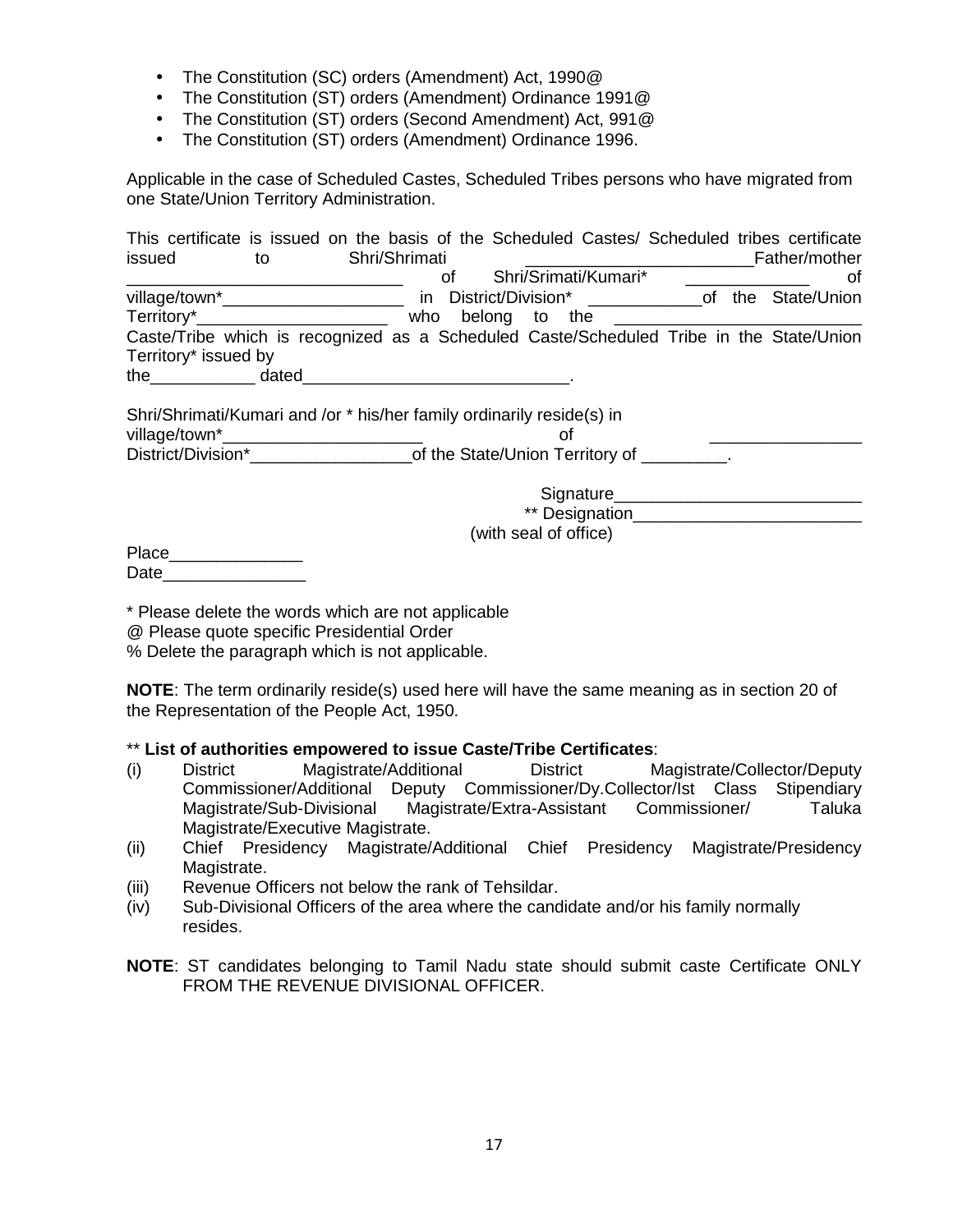- The Constitution (SC) orders (Amendment) Act, 1990@
- The Constitution (ST) orders (Amendment) Ordinance 1991@
- The Constitution (ST) orders (Second Amendment) Act, 991@
- The Constitution (ST) orders (Amendment) Ordinance 1996.

Applicable in the case of Scheduled Castes, Scheduled Tribes persons who have migrated from one State/Union Territory Administration.

| This certificate is issued on the basis of the Scheduled Castes/ Scheduled tribes certificate                                                                                                                                  |               |     |                                       |  |               |
|--------------------------------------------------------------------------------------------------------------------------------------------------------------------------------------------------------------------------------|---------------|-----|---------------------------------------|--|---------------|
| issued<br>to                                                                                                                                                                                                                   | Shri/Shrimati |     |                                       |  | Father/mother |
|                                                                                                                                                                                                                                |               | оf  | Shri/Srimati/Kumari*                  |  | οt            |
| village/town*_______________________                                                                                                                                                                                           |               | in. | District/Division* of the State/Union |  |               |
|                                                                                                                                                                                                                                |               |     |                                       |  |               |
| Caste/Tribe which is recognized as a Scheduled Caste/Scheduled Tribe in the State/Union                                                                                                                                        |               |     |                                       |  |               |
| Territory* issued by                                                                                                                                                                                                           |               |     |                                       |  |               |
| the dated dated and date of the contract of the date of the date of the contract of the contract of the contract of the contract of the contract of the contract of the contract of the contract of the contract of the contra |               |     |                                       |  |               |
| Shri/Shrimati/Kumari and /or * his/her family ordinarily reside(s) in<br>District/Division* of the State/Union Territory of _________.                                                                                         |               |     | οf                                    |  |               |
|                                                                                                                                                                                                                                |               |     |                                       |  |               |
|                                                                                                                                                                                                                                |               |     |                                       |  |               |
|                                                                                                                                                                                                                                |               |     | (with seal of office)                 |  |               |
| Place                                                                                                                                                                                                                          |               |     |                                       |  |               |
| Date                                                                                                                                                                                                                           |               |     |                                       |  |               |

\* Please delete the words which are not applicable

@ Please quote specific Presidential Order

% Delete the paragraph which is not applicable.

**NOTE**: The term ordinarily reside(s) used here will have the same meaning as in section 20 of the Representation of the People Act, 1950.

# \*\* **List of authorities empowered to issue Caste/Tribe Certificates**:

- (i) District Magistrate/Additional District Magistrate/Collector/Deputy Commissioner/Additional Deputy Commissioner/Dy.Collector/Ist Class Stipendiary Magistrate/Extra-Assistant Magistrate/Executive Magistrate.
- (ii) Chief Presidency Magistrate/Additional Chief Presidency Magistrate/Presidency Magistrate.
- (iii) Revenue Officers not below the rank of Tehsildar.
- (iv) Sub-Divisional Officers of the area where the candidate and/or his family normally resides.
- **NOTE**: ST candidates belonging to Tamil Nadu state should submit caste Certificate ONLY FROM THE REVENUE DIVISIONAL OFFICER.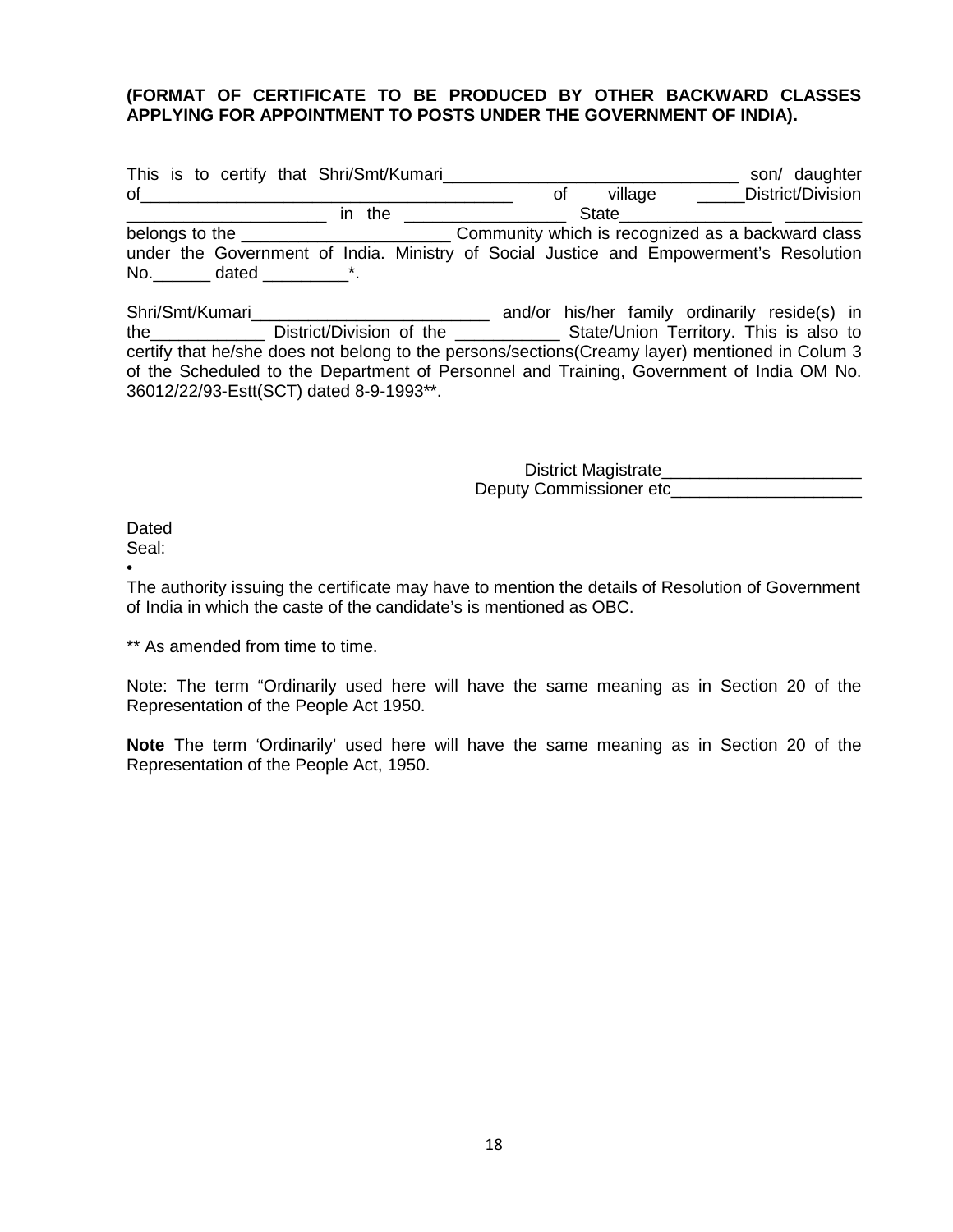#### **(FORMAT OF CERTIFICATE TO BE PRODUCED BY OTHER BACKWARD CLASSES APPLYING FOR APPOINTMENT TO POSTS UNDER THE GOVERNMENT OF INDIA).**

| This is to certify that Shri/Smt/Kumari                                                | son/ daughter                                     |
|----------------------------------------------------------------------------------------|---------------------------------------------------|
| οf                                                                                     | District/Division<br>village<br>Οt                |
| in the                                                                                 | State                                             |
| belongs to the                                                                         | Community which is recognized as a backward class |
| under the Government of India. Ministry of Social Justice and Empowerment's Resolution |                                                   |
| No.<br>dated                                                                           |                                                   |

Shri/Smt/Kumari\_\_\_\_\_\_\_\_\_\_\_\_\_\_\_\_\_\_\_\_\_\_\_\_\_ and/or his/her family ordinarily reside(s) in the\_\_\_\_\_\_\_\_\_\_\_\_ District/Division of the \_\_\_\_\_\_\_\_\_\_\_ State/Union Territory. This is also to certify that he/she does not belong to the persons/sections(Creamy layer) mentioned in Colum 3 of the Scheduled to the Department of Personnel and Training, Government of India OM No. 36012/22/93-Estt(SCT) dated 8-9-1993\*\*.

> District Magistrate\_\_\_\_ Deputy Commissioner etc

**Dated** 

Seal:

 $\bullet$  and  $\bullet$  and  $\bullet$ The authority issuing the certificate may have to mention the details of Resolution of Government of India in which the caste of the candidate's is mentioned as OBC.

\*\* As amended from time to time.

Note: The term "Ordinarily used here will have the same meaning as in Section 20 of the Representation of the People Act 1950.

**Note** The term 'Ordinarily' used here will have the same meaning as in Section 20 of the Representation of the People Act, 1950.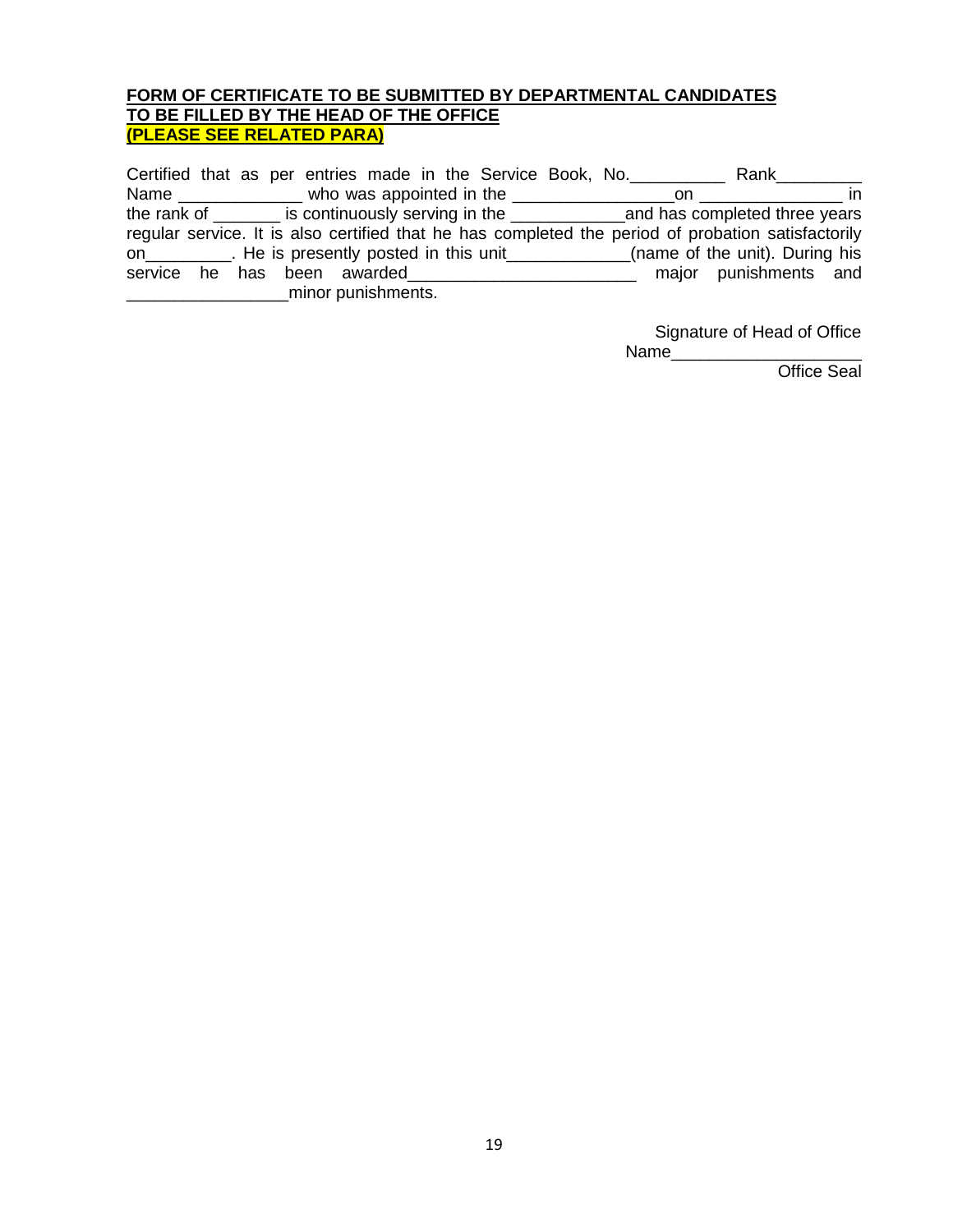#### **FORM OF CERTIFICATE TO BE SUBMITTED BY DEPARTMENTAL CANDIDATES TO BE FILLED BY THE HEAD OF THE OFFICE (PLEASE SEE RELATED PARA)**

Certified that as per entries made in the Service Book, No.\_\_\_\_\_\_\_\_\_\_\_\_\_\_\_ Rank\_\_\_\_\_\_\_\_\_ Name \_\_\_\_\_\_\_\_\_\_\_\_\_ who was appointed in the \_\_\_\_\_\_\_\_\_\_\_\_\_\_\_\_\_on \_\_\_\_\_\_\_\_\_\_\_\_\_\_\_ in the rank of \_\_\_\_\_\_\_ is continuously serving in the \_\_\_\_\_\_\_\_\_\_\_\_and has completed three years regular service. It is also certified that he has completed the period of probation satisfactorily on\_\_\_\_\_\_\_\_\_\_. He is presently posted in this unit\_\_\_\_\_\_\_\_\_\_\_\_\_(name of the unit). During his service he has been awarded\_\_\_\_\_\_\_\_\_\_\_\_\_\_\_\_\_\_\_\_\_\_\_\_\_ major punishments and **EXECUTE:** minor punishments.

> Signature of Head of Office Name\_\_\_\_\_\_\_\_\_\_\_\_\_\_\_\_\_\_\_\_

> > Office Seal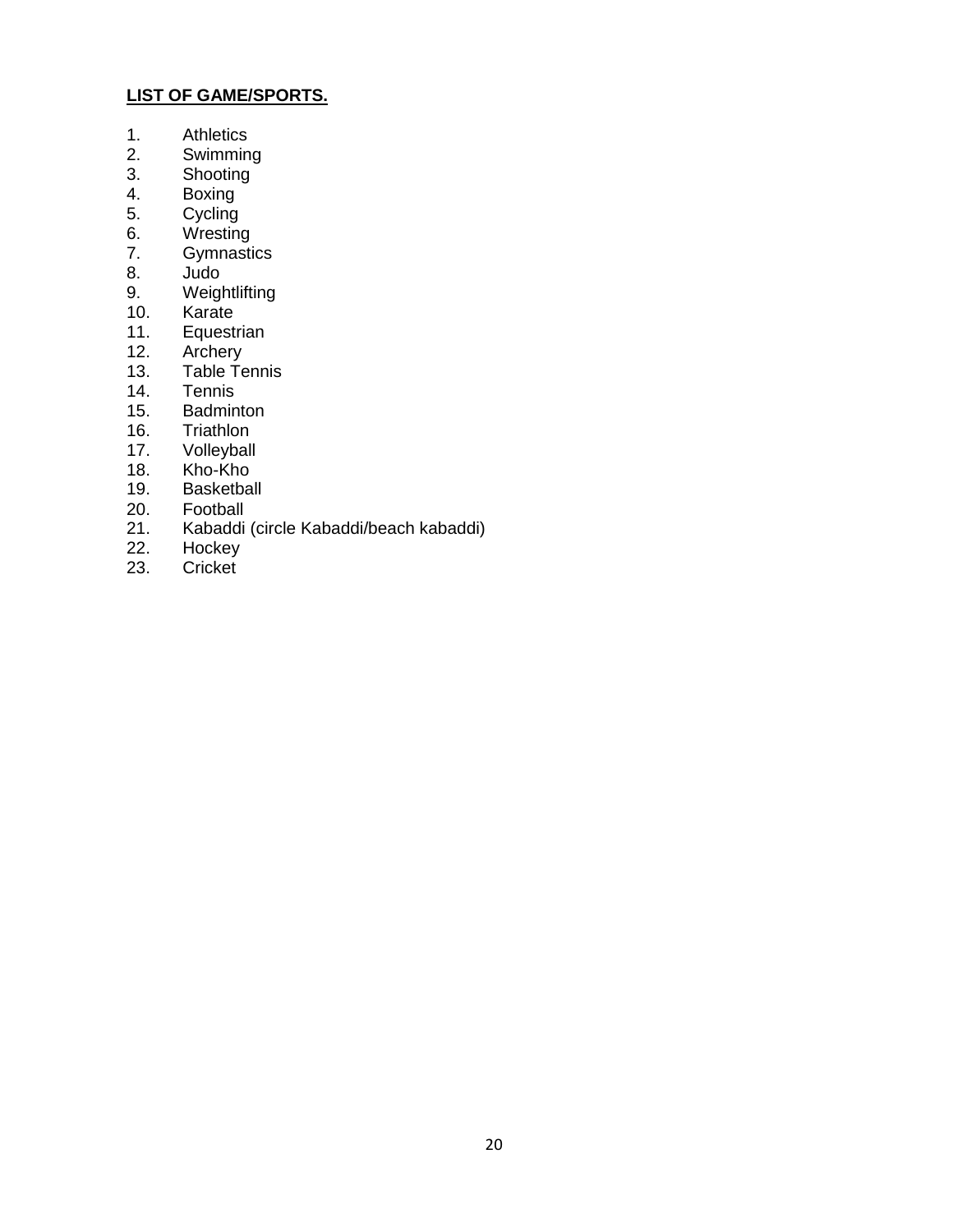#### **LIST OF GAME/SPORTS.**

- 1. Athletics<br>2. Swimmin
- 2. Swimming<br>3. Shooting
- **Shooting**
- 4. Boxing<br>5. Cycling
- 5. Cycling<br>6. Wrestine
- 6. Wresting<br>7. Gymnasti
- **Gymnastics**
- 8. Judo
- 9. Weightlifting<br>10. Karate
- 10. Karate<br>11. Equesti
- 11. Equestrian<br>12. Archery
- Archery
- 13. Table Tennis
- 14. Tennis<br>15. Badmin
- 15. Badminton<br>16. Triathlon
- 16. Triathlon<br>17. Volleyball
- Volleyball
- 18. Kho-Kho<br>19. Basketba
- 19. Basketball<br>20. Football
- 20. Football<br>21. Kabaddi
- 21. Kabaddi (circle Kabaddi/beach kabaddi)<br>22. Hockey
- 22. Hockey<br>23. Cricket
- Cricket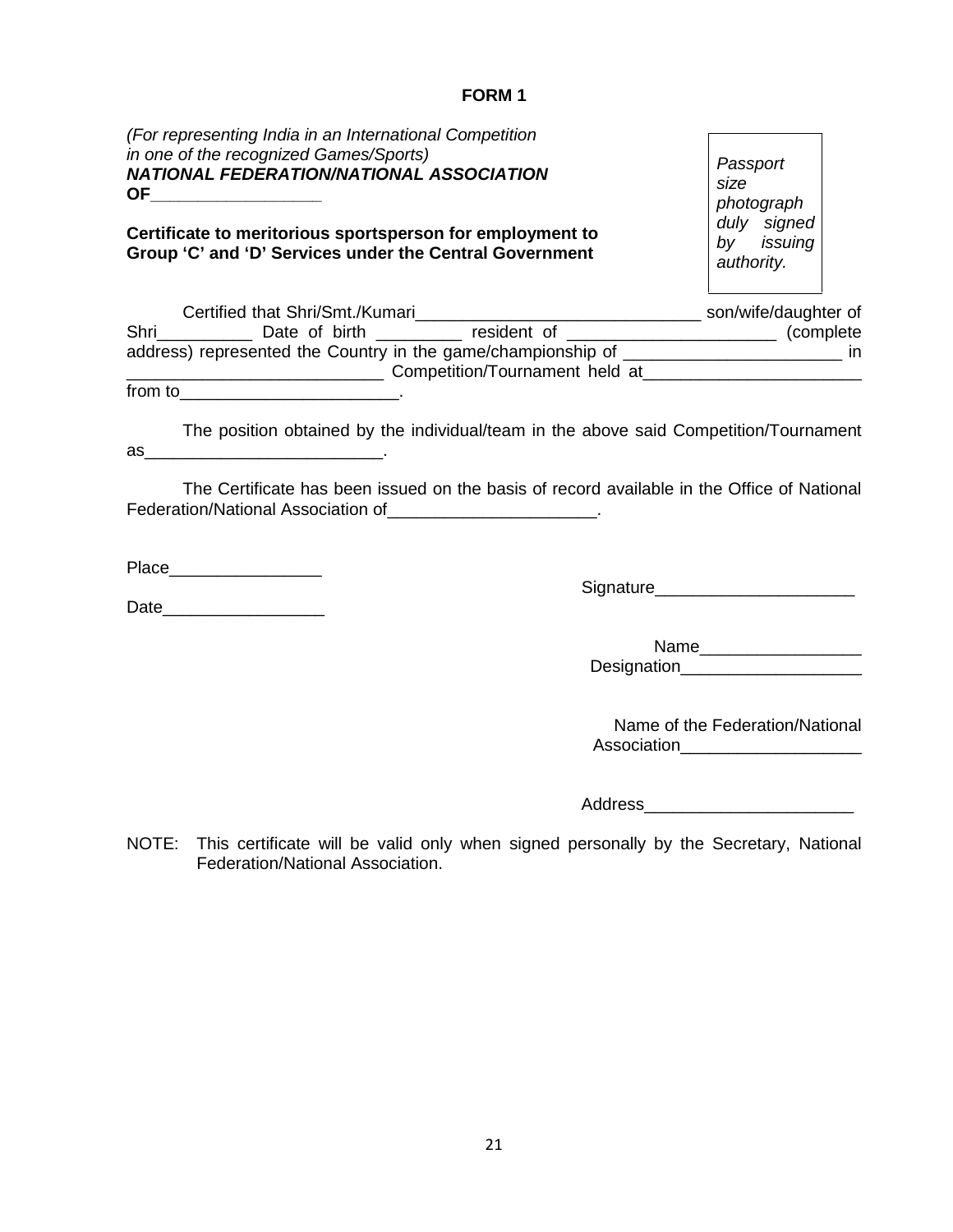#### **FORM 1**

| (For representing India in an International Competition<br>in one of the recognized Games/Sports)<br>NATIONAL FEDERATION/NATIONAL ASSOCIATION<br>OF______________________ | Passport<br>size<br>photograph<br>duly signed                          |
|---------------------------------------------------------------------------------------------------------------------------------------------------------------------------|------------------------------------------------------------------------|
| Certificate to meritorious sportsperson for employment to<br>Group 'C' and 'D' Services under the Central Government                                                      | by issuing<br>authority.                                               |
|                                                                                                                                                                           |                                                                        |
| address) represented the Country in the game/championship of _________________________ in                                                                                 |                                                                        |
|                                                                                                                                                                           |                                                                        |
| The position obtained by the individual/team in the above said Competition/Tournament                                                                                     |                                                                        |
| The Certificate has been issued on the basis of record available in the Office of National                                                                                |                                                                        |
| Federation/National Association of ________________________.                                                                                                              |                                                                        |
|                                                                                                                                                                           | Signature_________________________                                     |
|                                                                                                                                                                           | Designation_____________________                                       |
|                                                                                                                                                                           | Name of the Federation/National<br>Association________________________ |

NOTE: This certificate will be valid only when signed personally by the Secretary, National Federation/National Association.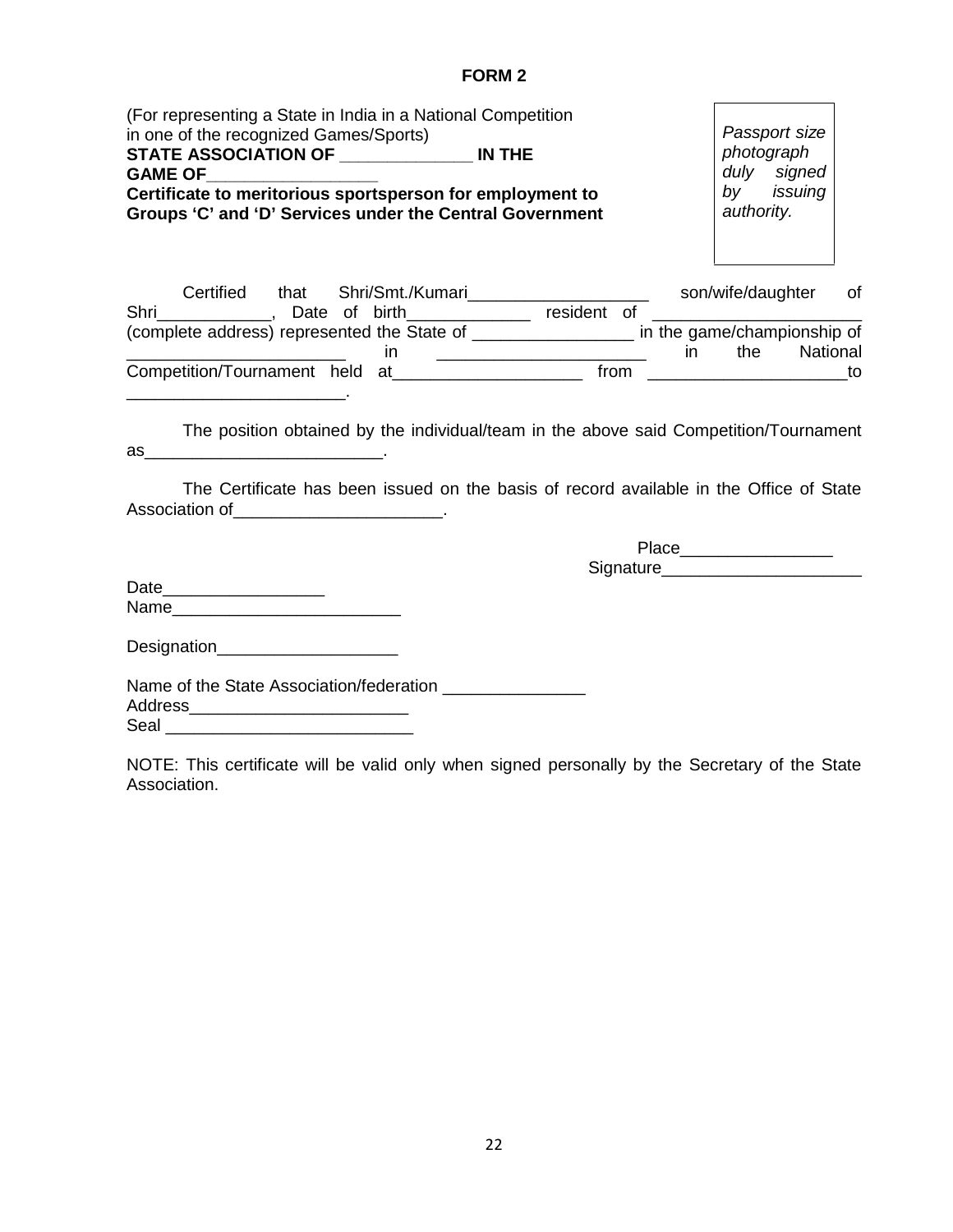# **FORM 2**

| (For representing a State in India in a National Competition<br>in one of the recognized Games/Sports)<br>STATE ASSOCIATION OF _________________ IN THE<br>GAME OF______________________<br>Certificate to meritorious sportsperson for employment to<br>Groups 'C' and 'D' Services under the Central Government | Passport size<br>photograph<br>duly signed<br>by issuing<br>authority. |
|-------------------------------------------------------------------------------------------------------------------------------------------------------------------------------------------------------------------------------------------------------------------------------------------------------------------|------------------------------------------------------------------------|
| Shri ______________, Date of birth______________ resident of ___________________                                                                                                                                                                                                                                  | 0f                                                                     |
| (complete address) represented the State of __________________ in the game/championship of                                                                                                                                                                                                                        |                                                                        |
| <u> 1980 - Jan James James, martin amerikan personal (</u><br>Competition/Tournament held at__________________________ from ______________________to                                                                                                                                                              | $\mathsf{in}$<br>the National                                          |
| The Certificate has been issued on the basis of record available in the Office of State<br>Association of _______________________________                                                                                                                                                                         |                                                                        |
|                                                                                                                                                                                                                                                                                                                   |                                                                        |
|                                                                                                                                                                                                                                                                                                                   | Signature___________________________                                   |
|                                                                                                                                                                                                                                                                                                                   |                                                                        |
|                                                                                                                                                                                                                                                                                                                   |                                                                        |
|                                                                                                                                                                                                                                                                                                                   |                                                                        |
|                                                                                                                                                                                                                                                                                                                   |                                                                        |
| Address_______________________________                                                                                                                                                                                                                                                                            |                                                                        |
|                                                                                                                                                                                                                                                                                                                   |                                                                        |
| NOTE: This certificate will be valid only when signed personally by the Secretary of the State<br>Association.                                                                                                                                                                                                    |                                                                        |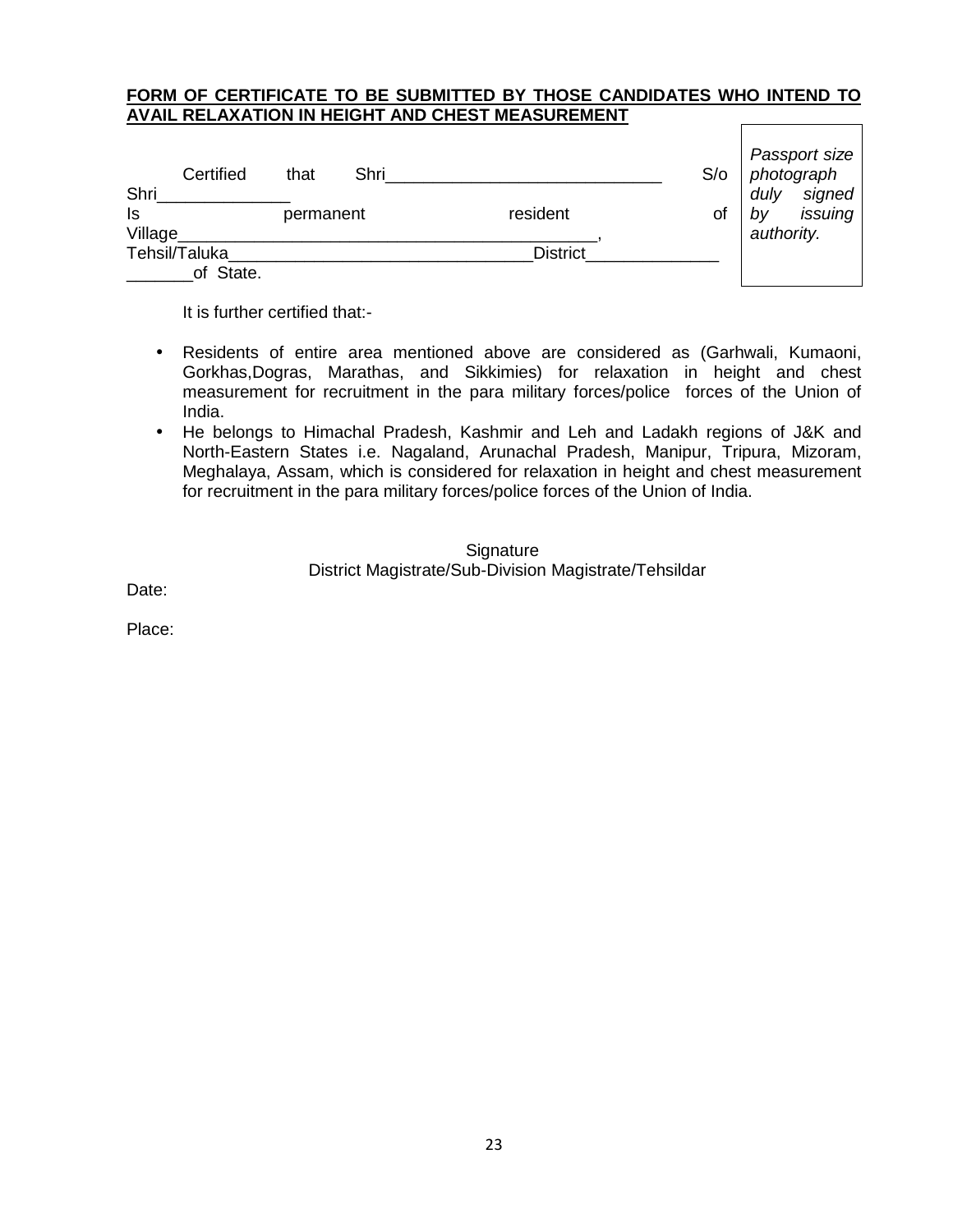#### **FORM OF CERTIFICATE TO BE SUBMITTED BY THOSE CANDIDATES WHO INTEND TO AVAIL RELAXATION IN HEIGHT AND CHEST MEASUREMENT**

| Certified      | that      | Shri |                 | S/O | Passport size<br>photograph |
|----------------|-----------|------|-----------------|-----|-----------------------------|
| Shri           |           |      |                 |     | signed<br>duly              |
| Is             | permanent |      | resident        | οt  | issuing<br>bv               |
| <b>Village</b> |           |      |                 |     | authority.                  |
| Tehsil/Taluka  |           |      | <b>District</b> |     |                             |
| of State.      |           |      |                 |     |                             |

It is further certified that:-

- Residents of entire area mentioned above are considered as (Garhwali, Kumaoni, Gorkhas,Dogras, Marathas, and Sikkimies) for relaxation in height and chest measurement for recruitment in the para military forces/police forces of the Union of India.
- He belongs to Himachal Pradesh, Kashmir and Leh and Ladakh regions of J&K and North-Eastern States i.e. Nagaland, Arunachal Pradesh, Manipur, Tripura, Mizoram, Meghalaya, Assam, which is considered for relaxation in height and chest measurement for recruitment in the para military forces/police forces of the Union of India.

**Signature** District Magistrate/Sub-Division Magistrate/Tehsildar

Date:

Place: